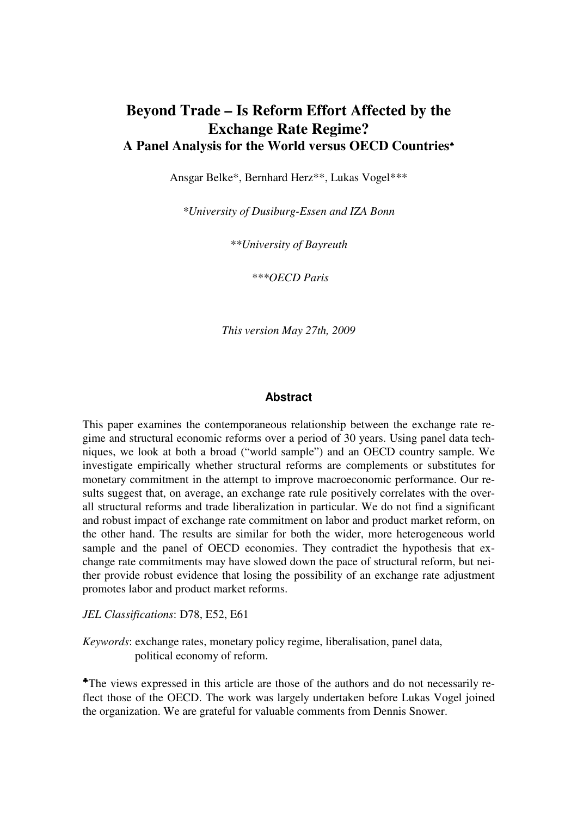# **Beyond Trade – Is Reform Effort Affected by the Exchange Rate Regime? A Panel Analysis for the World versus OECD Countries** ♣

Ansgar Belke\*, Bernhard Herz\*\*, Lukas Vogel\*\*\*

*\*University of Dusiburg-Essen and IZA Bonn* 

*\*\*University of Bayreuth* 

 *\*\*\*OECD Paris* 

*This version May 27th, 2009* 

#### **Abstract**

This paper examines the contemporaneous relationship between the exchange rate regime and structural economic reforms over a period of 30 years. Using panel data techniques, we look at both a broad ("world sample") and an OECD country sample. We investigate empirically whether structural reforms are complements or substitutes for monetary commitment in the attempt to improve macroeconomic performance. Our results suggest that, on average, an exchange rate rule positively correlates with the overall structural reforms and trade liberalization in particular. We do not find a significant and robust impact of exchange rate commitment on labor and product market reform, on the other hand. The results are similar for both the wider, more heterogeneous world sample and the panel of OECD economies. They contradict the hypothesis that exchange rate commitments may have slowed down the pace of structural reform, but neither provide robust evidence that losing the possibility of an exchange rate adjustment promotes labor and product market reforms.

*JEL Classifications*: D78, E52, E61

*Keywords*: exchange rates, monetary policy regime, liberalisation, panel data, political economy of reform.

♣The views expressed in this article are those of the authors and do not necessarily reflect those of the OECD. The work was largely undertaken before Lukas Vogel joined the organization. We are grateful for valuable comments from Dennis Snower.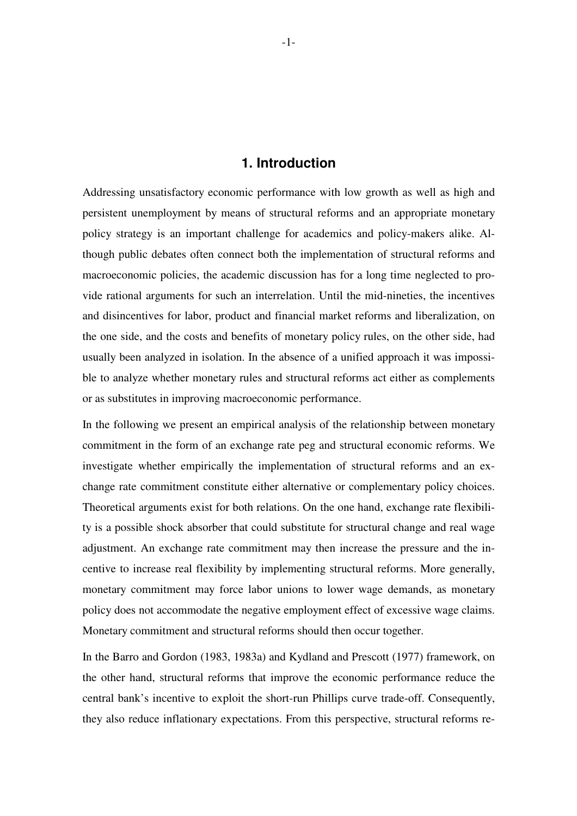## **1. Introduction**

Addressing unsatisfactory economic performance with low growth as well as high and persistent unemployment by means of structural reforms and an appropriate monetary policy strategy is an important challenge for academics and policy-makers alike. Although public debates often connect both the implementation of structural reforms and macroeconomic policies, the academic discussion has for a long time neglected to provide rational arguments for such an interrelation. Until the mid-nineties, the incentives and disincentives for labor, product and financial market reforms and liberalization, on the one side, and the costs and benefits of monetary policy rules, on the other side, had usually been analyzed in isolation. In the absence of a unified approach it was impossible to analyze whether monetary rules and structural reforms act either as complements or as substitutes in improving macroeconomic performance.

In the following we present an empirical analysis of the relationship between monetary commitment in the form of an exchange rate peg and structural economic reforms. We investigate whether empirically the implementation of structural reforms and an exchange rate commitment constitute either alternative or complementary policy choices. Theoretical arguments exist for both relations. On the one hand, exchange rate flexibility is a possible shock absorber that could substitute for structural change and real wage adjustment. An exchange rate commitment may then increase the pressure and the incentive to increase real flexibility by implementing structural reforms. More generally, monetary commitment may force labor unions to lower wage demands, as monetary policy does not accommodate the negative employment effect of excessive wage claims. Monetary commitment and structural reforms should then occur together.

In the Barro and Gordon (1983, 1983a) and Kydland and Prescott (1977) framework, on the other hand, structural reforms that improve the economic performance reduce the central bank's incentive to exploit the short-run Phillips curve trade-off. Consequently, they also reduce inflationary expectations. From this perspective, structural reforms re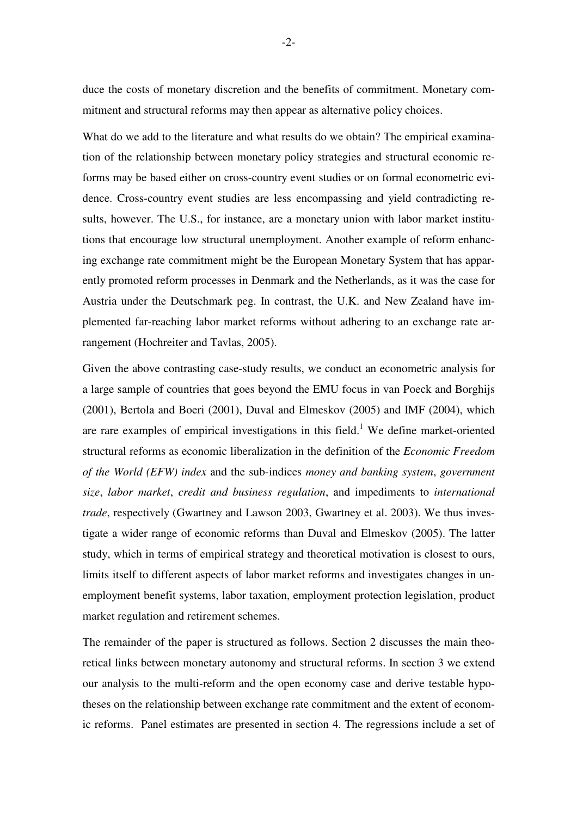duce the costs of monetary discretion and the benefits of commitment. Monetary commitment and structural reforms may then appear as alternative policy choices.

What do we add to the literature and what results do we obtain? The empirical examination of the relationship between monetary policy strategies and structural economic reforms may be based either on cross-country event studies or on formal econometric evidence. Cross-country event studies are less encompassing and yield contradicting results, however. The U.S., for instance, are a monetary union with labor market institutions that encourage low structural unemployment. Another example of reform enhancing exchange rate commitment might be the European Monetary System that has apparently promoted reform processes in Denmark and the Netherlands, as it was the case for Austria under the Deutschmark peg. In contrast, the U.K. and New Zealand have implemented far-reaching labor market reforms without adhering to an exchange rate arrangement (Hochreiter and Tavlas, 2005).

Given the above contrasting case-study results, we conduct an econometric analysis for a large sample of countries that goes beyond the EMU focus in van Poeck and Borghijs (2001), Bertola and Boeri (2001), Duval and Elmeskov (2005) and IMF (2004), which are rare examples of empirical investigations in this field.<sup>1</sup> We define market-oriented structural reforms as economic liberalization in the definition of the *Economic Freedom of the World (EFW) index* and the sub-indices *money and banking system*, *government size*, *labor market*, *credit and business regulation*, and impediments to *international trade*, respectively (Gwartney and Lawson 2003, Gwartney et al. 2003). We thus investigate a wider range of economic reforms than Duval and Elmeskov (2005). The latter study, which in terms of empirical strategy and theoretical motivation is closest to ours, limits itself to different aspects of labor market reforms and investigates changes in unemployment benefit systems, labor taxation, employment protection legislation, product market regulation and retirement schemes.

The remainder of the paper is structured as follows. Section 2 discusses the main theoretical links between monetary autonomy and structural reforms. In section 3 we extend our analysis to the multi-reform and the open economy case and derive testable hypotheses on the relationship between exchange rate commitment and the extent of economic reforms. Panel estimates are presented in section 4. The regressions include a set of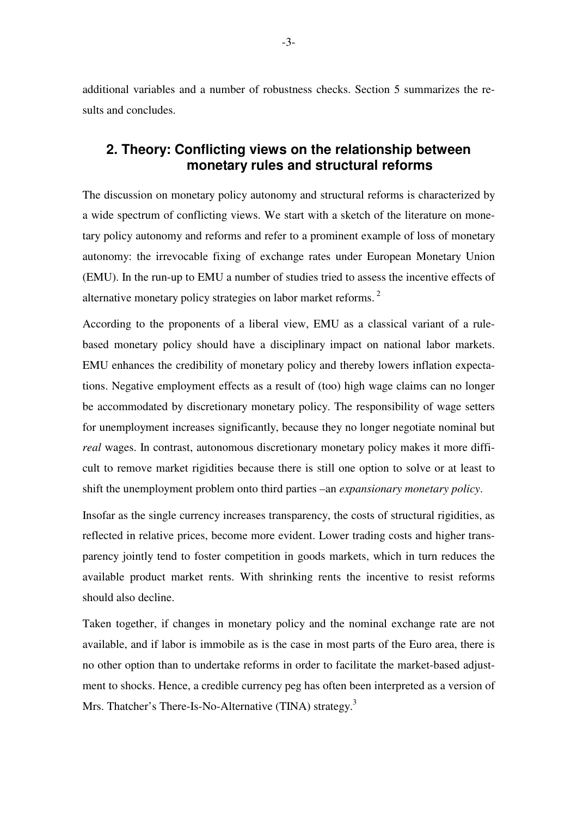additional variables and a number of robustness checks. Section 5 summarizes the results and concludes.

## **2. Theory: Conflicting views on the relationship between monetary rules and structural reforms**

The discussion on monetary policy autonomy and structural reforms is characterized by a wide spectrum of conflicting views. We start with a sketch of the literature on monetary policy autonomy and reforms and refer to a prominent example of loss of monetary autonomy: the irrevocable fixing of exchange rates under European Monetary Union (EMU). In the run-up to EMU a number of studies tried to assess the incentive effects of alternative monetary policy strategies on labor market reforms. $2$ 

According to the proponents of a liberal view, EMU as a classical variant of a rulebased monetary policy should have a disciplinary impact on national labor markets. EMU enhances the credibility of monetary policy and thereby lowers inflation expectations. Negative employment effects as a result of (too) high wage claims can no longer be accommodated by discretionary monetary policy. The responsibility of wage setters for unemployment increases significantly, because they no longer negotiate nominal but *real* wages. In contrast, autonomous discretionary monetary policy makes it more difficult to remove market rigidities because there is still one option to solve or at least to shift the unemployment problem onto third parties –an *expansionary monetary policy*.

Insofar as the single currency increases transparency, the costs of structural rigidities, as reflected in relative prices, become more evident. Lower trading costs and higher transparency jointly tend to foster competition in goods markets, which in turn reduces the available product market rents. With shrinking rents the incentive to resist reforms should also decline.

Taken together, if changes in monetary policy and the nominal exchange rate are not available, and if labor is immobile as is the case in most parts of the Euro area, there is no other option than to undertake reforms in order to facilitate the market-based adjustment to shocks. Hence, a credible currency peg has often been interpreted as a version of Mrs. Thatcher's There-Is-No-Alternative (TINA) strategy.<sup>3</sup>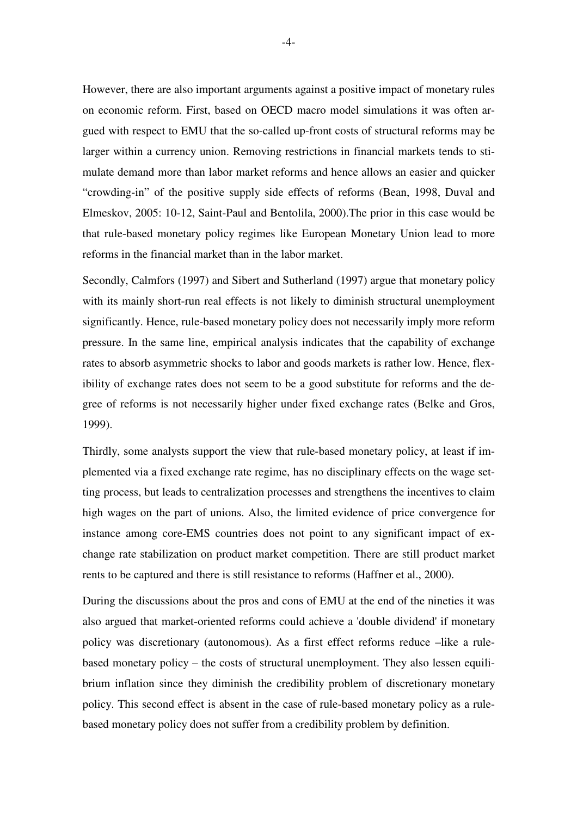However, there are also important arguments against a positive impact of monetary rules on economic reform. First, based on OECD macro model simulations it was often argued with respect to EMU that the so-called up-front costs of structural reforms may be larger within a currency union. Removing restrictions in financial markets tends to stimulate demand more than labor market reforms and hence allows an easier and quicker "crowding-in" of the positive supply side effects of reforms (Bean, 1998, Duval and Elmeskov, 2005: 10-12, Saint-Paul and Bentolila, 2000).The prior in this case would be that rule-based monetary policy regimes like European Monetary Union lead to more reforms in the financial market than in the labor market.

Secondly, Calmfors (1997) and Sibert and Sutherland (1997) argue that monetary policy with its mainly short-run real effects is not likely to diminish structural unemployment significantly. Hence, rule-based monetary policy does not necessarily imply more reform pressure. In the same line, empirical analysis indicates that the capability of exchange rates to absorb asymmetric shocks to labor and goods markets is rather low. Hence, flexibility of exchange rates does not seem to be a good substitute for reforms and the degree of reforms is not necessarily higher under fixed exchange rates (Belke and Gros, 1999).

Thirdly, some analysts support the view that rule-based monetary policy, at least if implemented via a fixed exchange rate regime, has no disciplinary effects on the wage setting process, but leads to centralization processes and strengthens the incentives to claim high wages on the part of unions. Also, the limited evidence of price convergence for instance among core-EMS countries does not point to any significant impact of exchange rate stabilization on product market competition. There are still product market rents to be captured and there is still resistance to reforms (Haffner et al., 2000).

During the discussions about the pros and cons of EMU at the end of the nineties it was also argued that market-oriented reforms could achieve a 'double dividend' if monetary policy was discretionary (autonomous). As a first effect reforms reduce –like a rulebased monetary policy – the costs of structural unemployment. They also lessen equilibrium inflation since they diminish the credibility problem of discretionary monetary policy. This second effect is absent in the case of rule-based monetary policy as a rulebased monetary policy does not suffer from a credibility problem by definition.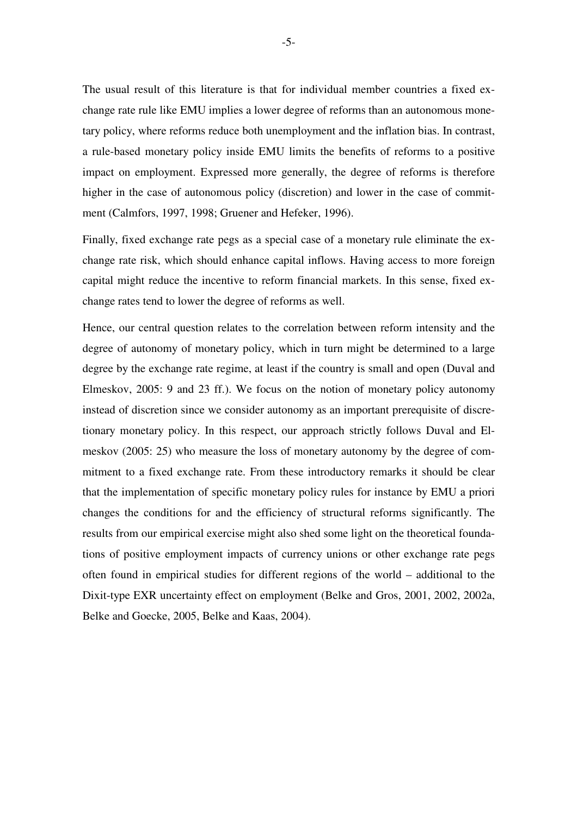The usual result of this literature is that for individual member countries a fixed exchange rate rule like EMU implies a lower degree of reforms than an autonomous monetary policy, where reforms reduce both unemployment and the inflation bias. In contrast, a rule-based monetary policy inside EMU limits the benefits of reforms to a positive impact on employment. Expressed more generally, the degree of reforms is therefore higher in the case of autonomous policy (discretion) and lower in the case of commitment (Calmfors, 1997, 1998; Gruener and Hefeker, 1996).

Finally, fixed exchange rate pegs as a special case of a monetary rule eliminate the exchange rate risk, which should enhance capital inflows. Having access to more foreign capital might reduce the incentive to reform financial markets. In this sense, fixed exchange rates tend to lower the degree of reforms as well.

Hence, our central question relates to the correlation between reform intensity and the degree of autonomy of monetary policy, which in turn might be determined to a large degree by the exchange rate regime, at least if the country is small and open (Duval and Elmeskov, 2005: 9 and 23 ff.). We focus on the notion of monetary policy autonomy instead of discretion since we consider autonomy as an important prerequisite of discretionary monetary policy. In this respect, our approach strictly follows Duval and Elmeskov (2005: 25) who measure the loss of monetary autonomy by the degree of commitment to a fixed exchange rate. From these introductory remarks it should be clear that the implementation of specific monetary policy rules for instance by EMU a priori changes the conditions for and the efficiency of structural reforms significantly. The results from our empirical exercise might also shed some light on the theoretical foundations of positive employment impacts of currency unions or other exchange rate pegs often found in empirical studies for different regions of the world – additional to the Dixit-type EXR uncertainty effect on employment (Belke and Gros, 2001, 2002, 2002a, Belke and Goecke, 2005, Belke and Kaas, 2004).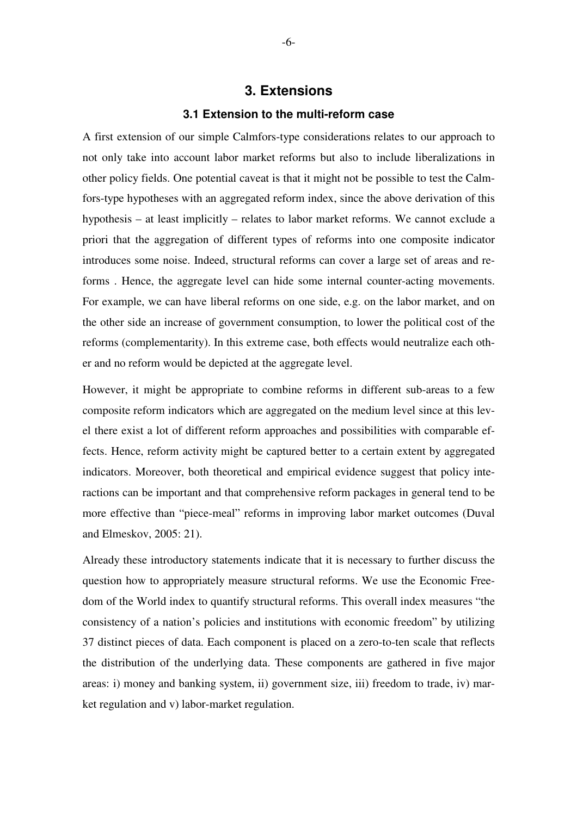## **3. Extensions**

#### **3.1 Extension to the multi-reform case**

A first extension of our simple Calmfors-type considerations relates to our approach to not only take into account labor market reforms but also to include liberalizations in other policy fields. One potential caveat is that it might not be possible to test the Calmfors-type hypotheses with an aggregated reform index, since the above derivation of this hypothesis – at least implicitly – relates to labor market reforms. We cannot exclude a priori that the aggregation of different types of reforms into one composite indicator introduces some noise. Indeed, structural reforms can cover a large set of areas and reforms . Hence, the aggregate level can hide some internal counter-acting movements. For example, we can have liberal reforms on one side, e.g. on the labor market, and on the other side an increase of government consumption, to lower the political cost of the reforms (complementarity). In this extreme case, both effects would neutralize each other and no reform would be depicted at the aggregate level.

However, it might be appropriate to combine reforms in different sub-areas to a few composite reform indicators which are aggregated on the medium level since at this level there exist a lot of different reform approaches and possibilities with comparable effects. Hence, reform activity might be captured better to a certain extent by aggregated indicators. Moreover, both theoretical and empirical evidence suggest that policy interactions can be important and that comprehensive reform packages in general tend to be more effective than "piece-meal" reforms in improving labor market outcomes (Duval and Elmeskov, 2005: 21).

Already these introductory statements indicate that it is necessary to further discuss the question how to appropriately measure structural reforms. We use the Economic Freedom of the World index to quantify structural reforms. This overall index measures "the consistency of a nation's policies and institutions with economic freedom" by utilizing 37 distinct pieces of data. Each component is placed on a zero-to-ten scale that reflects the distribution of the underlying data. These components are gathered in five major areas: i) money and banking system, ii) government size, iii) freedom to trade, iv) market regulation and v) labor-market regulation.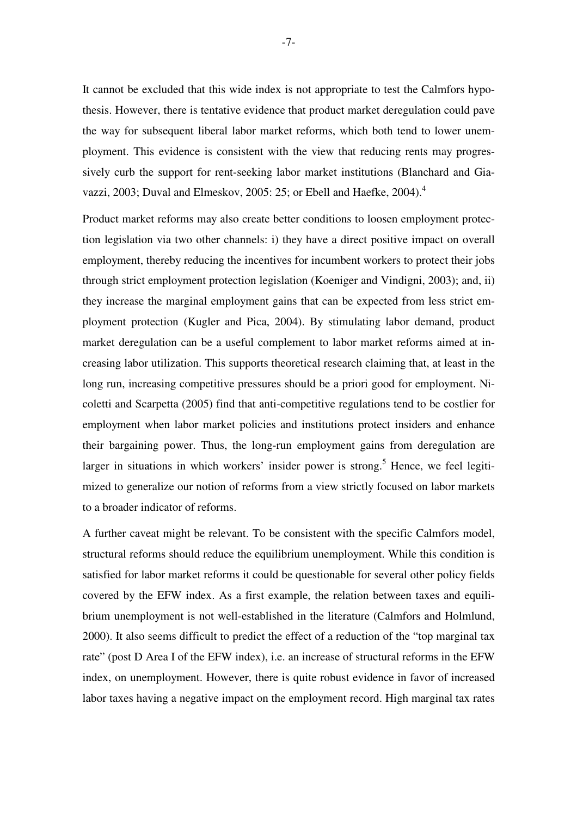It cannot be excluded that this wide index is not appropriate to test the Calmfors hypothesis. However, there is tentative evidence that product market deregulation could pave the way for subsequent liberal labor market reforms, which both tend to lower unemployment. This evidence is consistent with the view that reducing rents may progressively curb the support for rent-seeking labor market institutions (Blanchard and Giavazzi, 2003; Duval and Elmeskov, 2005: 25; or Ebell and Haefke, 2004).<sup>4</sup>

Product market reforms may also create better conditions to loosen employment protection legislation via two other channels: i) they have a direct positive impact on overall employment, thereby reducing the incentives for incumbent workers to protect their jobs through strict employment protection legislation (Koeniger and Vindigni, 2003); and, ii) they increase the marginal employment gains that can be expected from less strict employment protection (Kugler and Pica, 2004). By stimulating labor demand, product market deregulation can be a useful complement to labor market reforms aimed at increasing labor utilization. This supports theoretical research claiming that, at least in the long run, increasing competitive pressures should be a priori good for employment. Nicoletti and Scarpetta (2005) find that anti-competitive regulations tend to be costlier for employment when labor market policies and institutions protect insiders and enhance their bargaining power. Thus, the long-run employment gains from deregulation are larger in situations in which workers' insider power is strong.<sup>5</sup> Hence, we feel legitimized to generalize our notion of reforms from a view strictly focused on labor markets to a broader indicator of reforms.

A further caveat might be relevant. To be consistent with the specific Calmfors model, structural reforms should reduce the equilibrium unemployment. While this condition is satisfied for labor market reforms it could be questionable for several other policy fields covered by the EFW index. As a first example, the relation between taxes and equilibrium unemployment is not well-established in the literature (Calmfors and Holmlund, 2000). It also seems difficult to predict the effect of a reduction of the "top marginal tax rate" (post D Area I of the EFW index), i.e. an increase of structural reforms in the EFW index, on unemployment. However, there is quite robust evidence in favor of increased labor taxes having a negative impact on the employment record. High marginal tax rates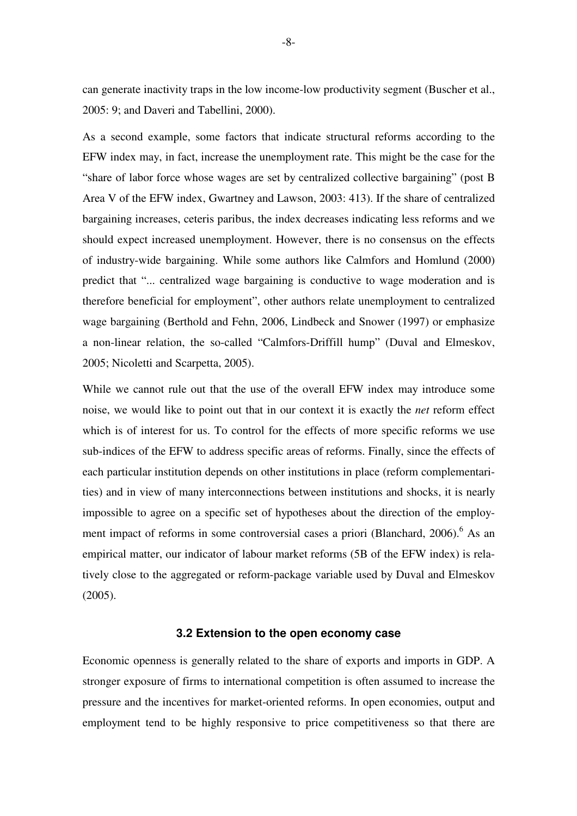can generate inactivity traps in the low income-low productivity segment (Buscher et al., 2005: 9; and Daveri and Tabellini, 2000).

As a second example, some factors that indicate structural reforms according to the EFW index may, in fact, increase the unemployment rate. This might be the case for the "share of labor force whose wages are set by centralized collective bargaining" (post B Area V of the EFW index, Gwartney and Lawson, 2003: 413). If the share of centralized bargaining increases, ceteris paribus, the index decreases indicating less reforms and we should expect increased unemployment. However, there is no consensus on the effects of industry-wide bargaining. While some authors like Calmfors and Homlund (2000) predict that "... centralized wage bargaining is conductive to wage moderation and is therefore beneficial for employment", other authors relate unemployment to centralized wage bargaining (Berthold and Fehn, 2006, Lindbeck and Snower (1997) or emphasize a non-linear relation, the so-called "Calmfors-Driffill hump" (Duval and Elmeskov, 2005; Nicoletti and Scarpetta, 2005).

While we cannot rule out that the use of the overall EFW index may introduce some noise, we would like to point out that in our context it is exactly the *net* reform effect which is of interest for us. To control for the effects of more specific reforms we use sub-indices of the EFW to address specific areas of reforms. Finally, since the effects of each particular institution depends on other institutions in place (reform complementarities) and in view of many interconnections between institutions and shocks, it is nearly impossible to agree on a specific set of hypotheses about the direction of the employment impact of reforms in some controversial cases a priori (Blanchard, 2006).<sup>6</sup> As an empirical matter, our indicator of labour market reforms (5B of the EFW index) is relatively close to the aggregated or reform-package variable used by Duval and Elmeskov (2005).

#### **3.2 Extension to the open economy case**

Economic openness is generally related to the share of exports and imports in GDP. A stronger exposure of firms to international competition is often assumed to increase the pressure and the incentives for market-oriented reforms. In open economies, output and employment tend to be highly responsive to price competitiveness so that there are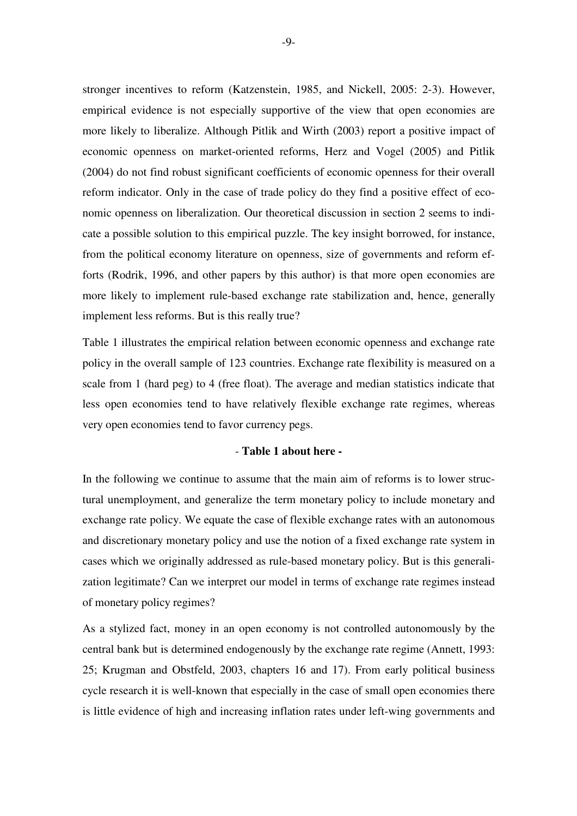stronger incentives to reform (Katzenstein, 1985, and Nickell, 2005: 2-3). However, empirical evidence is not especially supportive of the view that open economies are more likely to liberalize. Although Pitlik and Wirth (2003) report a positive impact of economic openness on market-oriented reforms, Herz and Vogel (2005) and Pitlik (2004) do not find robust significant coefficients of economic openness for their overall reform indicator. Only in the case of trade policy do they find a positive effect of economic openness on liberalization. Our theoretical discussion in section 2 seems to indicate a possible solution to this empirical puzzle. The key insight borrowed, for instance, from the political economy literature on openness, size of governments and reform efforts (Rodrik, 1996, and other papers by this author) is that more open economies are more likely to implement rule-based exchange rate stabilization and, hence, generally implement less reforms. But is this really true?

Table 1 illustrates the empirical relation between economic openness and exchange rate policy in the overall sample of 123 countries. Exchange rate flexibility is measured on a scale from 1 (hard peg) to 4 (free float). The average and median statistics indicate that less open economies tend to have relatively flexible exchange rate regimes, whereas very open economies tend to favor currency pegs.

#### - **Table 1 about here -**

In the following we continue to assume that the main aim of reforms is to lower structural unemployment, and generalize the term monetary policy to include monetary and exchange rate policy. We equate the case of flexible exchange rates with an autonomous and discretionary monetary policy and use the notion of a fixed exchange rate system in cases which we originally addressed as rule-based monetary policy. But is this generalization legitimate? Can we interpret our model in terms of exchange rate regimes instead of monetary policy regimes?

As a stylized fact, money in an open economy is not controlled autonomously by the central bank but is determined endogenously by the exchange rate regime (Annett, 1993: 25; Krugman and Obstfeld, 2003, chapters 16 and 17). From early political business cycle research it is well-known that especially in the case of small open economies there is little evidence of high and increasing inflation rates under left-wing governments and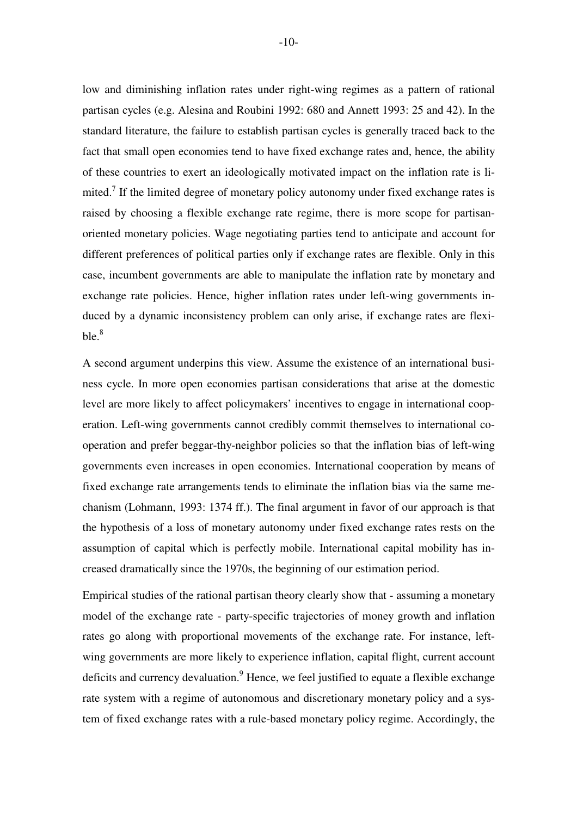low and diminishing inflation rates under right-wing regimes as a pattern of rational partisan cycles (e.g. Alesina and Roubini 1992: 680 and Annett 1993: 25 and 42). In the standard literature, the failure to establish partisan cycles is generally traced back to the fact that small open economies tend to have fixed exchange rates and, hence, the ability of these countries to exert an ideologically motivated impact on the inflation rate is limited.<sup>7</sup> If the limited degree of monetary policy autonomy under fixed exchange rates is raised by choosing a flexible exchange rate regime, there is more scope for partisanoriented monetary policies. Wage negotiating parties tend to anticipate and account for different preferences of political parties only if exchange rates are flexible. Only in this case, incumbent governments are able to manipulate the inflation rate by monetary and exchange rate policies. Hence, higher inflation rates under left-wing governments induced by a dynamic inconsistency problem can only arise, if exchange rates are flexi $ble.<sup>8</sup>$ 

A second argument underpins this view. Assume the existence of an international business cycle. In more open economies partisan considerations that arise at the domestic level are more likely to affect policymakers' incentives to engage in international cooperation. Left-wing governments cannot credibly commit themselves to international cooperation and prefer beggar-thy-neighbor policies so that the inflation bias of left-wing governments even increases in open economies. International cooperation by means of fixed exchange rate arrangements tends to eliminate the inflation bias via the same mechanism (Lohmann, 1993: 1374 ff.). The final argument in favor of our approach is that the hypothesis of a loss of monetary autonomy under fixed exchange rates rests on the assumption of capital which is perfectly mobile. International capital mobility has increased dramatically since the 1970s, the beginning of our estimation period.

Empirical studies of the rational partisan theory clearly show that - assuming a monetary model of the exchange rate - party-specific trajectories of money growth and inflation rates go along with proportional movements of the exchange rate. For instance, leftwing governments are more likely to experience inflation, capital flight, current account deficits and currency devaluation.<sup>9</sup> Hence, we feel justified to equate a flexible exchange rate system with a regime of autonomous and discretionary monetary policy and a system of fixed exchange rates with a rule-based monetary policy regime. Accordingly, the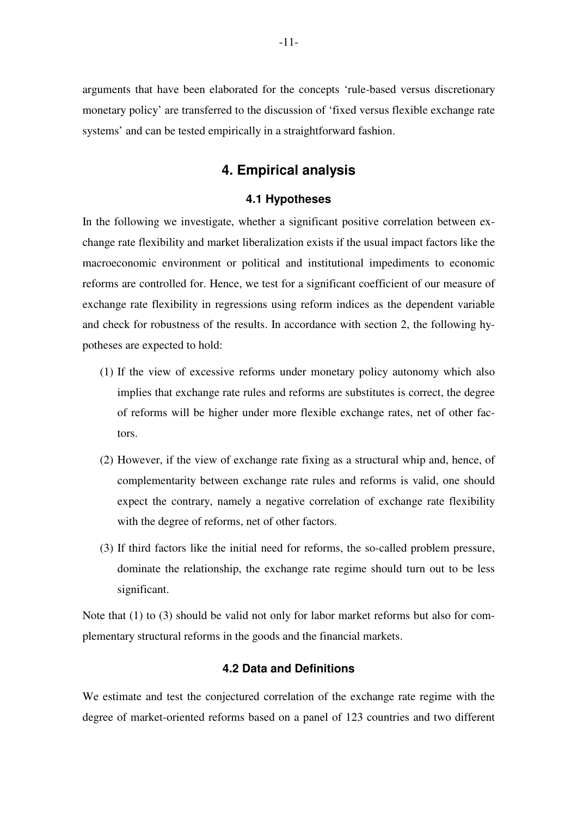arguments that have been elaborated for the concepts 'rule-based versus discretionary monetary policy' are transferred to the discussion of 'fixed versus flexible exchange rate systems' and can be tested empirically in a straightforward fashion.

## **4. Empirical analysis**

#### **4.1 Hypotheses**

In the following we investigate, whether a significant positive correlation between exchange rate flexibility and market liberalization exists if the usual impact factors like the macroeconomic environment or political and institutional impediments to economic reforms are controlled for. Hence, we test for a significant coefficient of our measure of exchange rate flexibility in regressions using reform indices as the dependent variable and check for robustness of the results. In accordance with section 2, the following hypotheses are expected to hold:

- (1) If the view of excessive reforms under monetary policy autonomy which also implies that exchange rate rules and reforms are substitutes is correct, the degree of reforms will be higher under more flexible exchange rates, net of other factors.
- (2) However, if the view of exchange rate fixing as a structural whip and, hence, of complementarity between exchange rate rules and reforms is valid, one should expect the contrary, namely a negative correlation of exchange rate flexibility with the degree of reforms, net of other factors.
- (3) If third factors like the initial need for reforms, the so-called problem pressure, dominate the relationship, the exchange rate regime should turn out to be less significant.

Note that (1) to (3) should be valid not only for labor market reforms but also for complementary structural reforms in the goods and the financial markets.

#### **4.2 Data and Definitions**

We estimate and test the conjectured correlation of the exchange rate regime with the degree of market-oriented reforms based on a panel of 123 countries and two different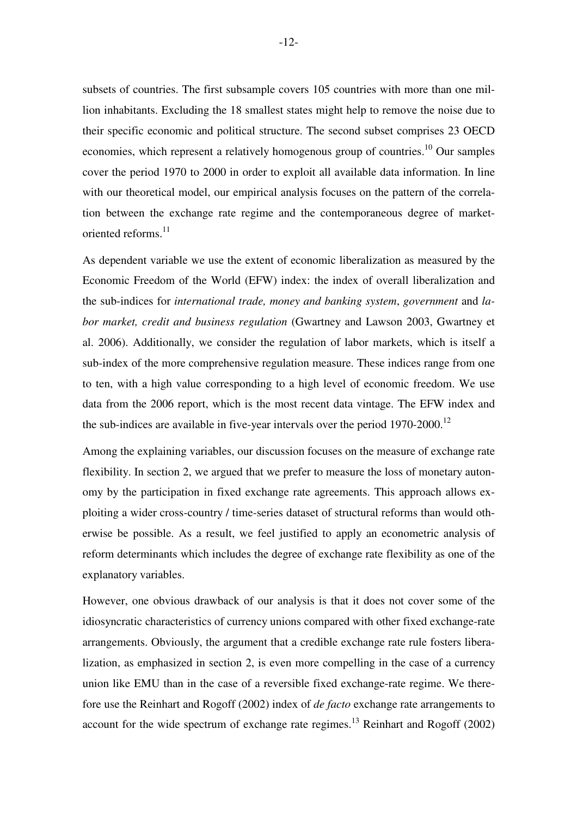subsets of countries. The first subsample covers 105 countries with more than one million inhabitants. Excluding the 18 smallest states might help to remove the noise due to their specific economic and political structure. The second subset comprises 23 OECD economies, which represent a relatively homogenous group of countries.<sup>10</sup> Our samples cover the period 1970 to 2000 in order to exploit all available data information. In line with our theoretical model, our empirical analysis focuses on the pattern of the correlation between the exchange rate regime and the contemporaneous degree of marketoriented reforms.<sup>11</sup>

As dependent variable we use the extent of economic liberalization as measured by the Economic Freedom of the World (EFW) index: the index of overall liberalization and the sub-indices for *international trade, money and banking system*, *government* and *labor market, credit and business regulation* (Gwartney and Lawson 2003, Gwartney et al. 2006). Additionally, we consider the regulation of labor markets, which is itself a sub-index of the more comprehensive regulation measure. These indices range from one to ten, with a high value corresponding to a high level of economic freedom. We use data from the 2006 report, which is the most recent data vintage. The EFW index and the sub-indices are available in five-year intervals over the period 1970-2000.<sup>12</sup>

Among the explaining variables, our discussion focuses on the measure of exchange rate flexibility. In section 2, we argued that we prefer to measure the loss of monetary autonomy by the participation in fixed exchange rate agreements. This approach allows exploiting a wider cross-country / time-series dataset of structural reforms than would otherwise be possible. As a result, we feel justified to apply an econometric analysis of reform determinants which includes the degree of exchange rate flexibility as one of the explanatory variables.

However, one obvious drawback of our analysis is that it does not cover some of the idiosyncratic characteristics of currency unions compared with other fixed exchange-rate arrangements. Obviously, the argument that a credible exchange rate rule fosters liberalization, as emphasized in section 2, is even more compelling in the case of a currency union like EMU than in the case of a reversible fixed exchange-rate regime. We therefore use the Reinhart and Rogoff (2002) index of *de facto* exchange rate arrangements to account for the wide spectrum of exchange rate regimes.<sup>13</sup> Reinhart and Rogoff  $(2002)$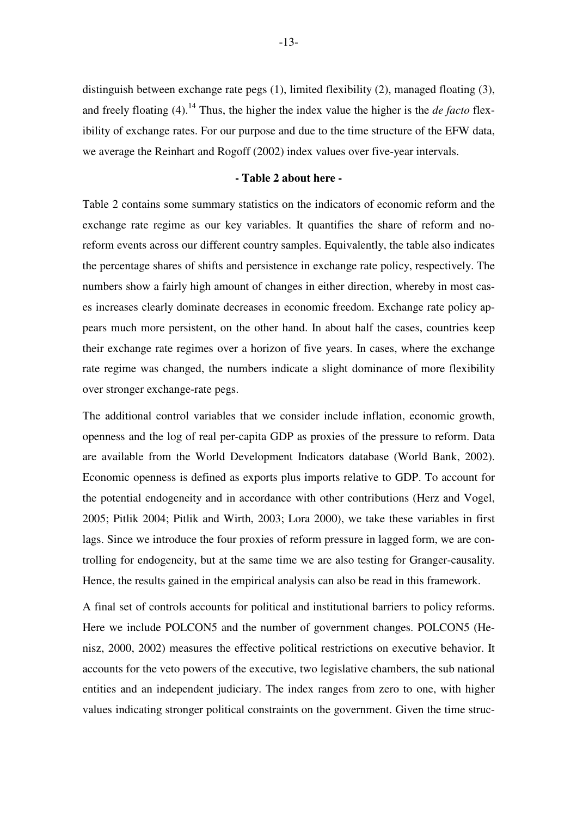distinguish between exchange rate pegs (1), limited flexibility (2), managed floating (3), and freely floating  $(4)$ .<sup>14</sup> Thus, the higher the index value the higher is the *de facto* flexibility of exchange rates. For our purpose and due to the time structure of the EFW data, we average the Reinhart and Rogoff (2002) index values over five-year intervals.

#### **- Table 2 about here -**

Table 2 contains some summary statistics on the indicators of economic reform and the exchange rate regime as our key variables. It quantifies the share of reform and noreform events across our different country samples. Equivalently, the table also indicates the percentage shares of shifts and persistence in exchange rate policy, respectively. The numbers show a fairly high amount of changes in either direction, whereby in most cases increases clearly dominate decreases in economic freedom. Exchange rate policy appears much more persistent, on the other hand. In about half the cases, countries keep their exchange rate regimes over a horizon of five years. In cases, where the exchange rate regime was changed, the numbers indicate a slight dominance of more flexibility over stronger exchange-rate pegs.

The additional control variables that we consider include inflation, economic growth, openness and the log of real per-capita GDP as proxies of the pressure to reform. Data are available from the World Development Indicators database (World Bank, 2002). Economic openness is defined as exports plus imports relative to GDP. To account for the potential endogeneity and in accordance with other contributions (Herz and Vogel, 2005; Pitlik 2004; Pitlik and Wirth, 2003; Lora 2000), we take these variables in first lags. Since we introduce the four proxies of reform pressure in lagged form, we are controlling for endogeneity, but at the same time we are also testing for Granger-causality. Hence, the results gained in the empirical analysis can also be read in this framework.

A final set of controls accounts for political and institutional barriers to policy reforms. Here we include POLCON5 and the number of government changes. POLCON5 (Henisz, 2000, 2002) measures the effective political restrictions on executive behavior. It accounts for the veto powers of the executive, two legislative chambers, the sub national entities and an independent judiciary. The index ranges from zero to one, with higher values indicating stronger political constraints on the government. Given the time struc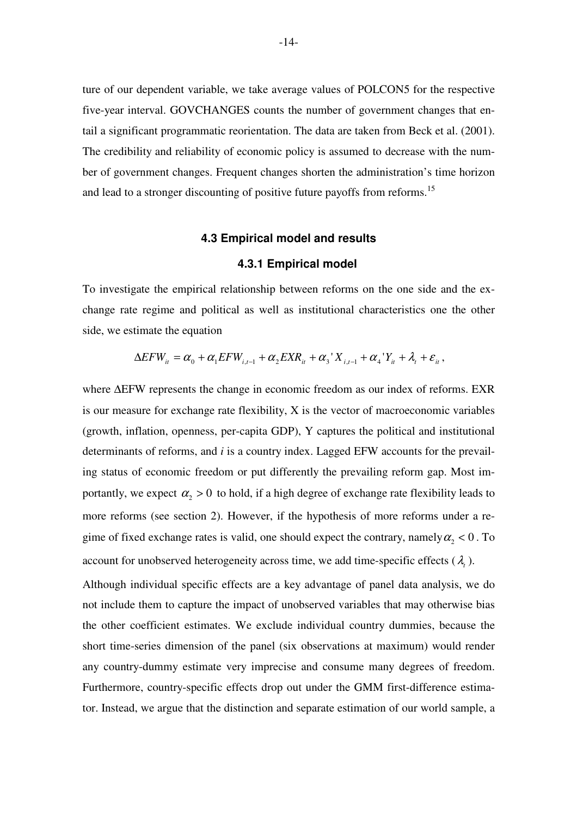ture of our dependent variable, we take average values of POLCON5 for the respective five-year interval. GOVCHANGES counts the number of government changes that entail a significant programmatic reorientation. The data are taken from Beck et al. (2001). The credibility and reliability of economic policy is assumed to decrease with the number of government changes. Frequent changes shorten the administration's time horizon and lead to a stronger discounting of positive future payoffs from reforms.<sup>15</sup>

#### **4.3 Empirical model and results**

#### **4.3.1 Empirical model**

To investigate the empirical relationship between reforms on the one side and the exchange rate regime and political as well as institutional characteristics one the other side, we estimate the equation

$$
\Delta EFW_{ii} = \alpha_0 + \alpha_1 EFW_{i,t-1} + \alpha_2 EXR_{it} + \alpha_3' X_{i,t-1} + \alpha_4' Y_{it} + \lambda_t + \varepsilon_{it},
$$

where ∆EFW represents the change in economic freedom as our index of reforms. EXR is our measure for exchange rate flexibility, X is the vector of macroeconomic variables (growth, inflation, openness, per-capita GDP), Y captures the political and institutional determinants of reforms, and *i* is a country index. Lagged EFW accounts for the prevailing status of economic freedom or put differently the prevailing reform gap. Most importantly, we expect  $\alpha$  > 0 to hold, if a high degree of exchange rate flexibility leads to more reforms (see section 2). However, if the hypothesis of more reforms under a regime of fixed exchange rates is valid, one should expect the contrary, namely  $\alpha_2 < 0$ . To account for unobserved heterogeneity across time, we add time-specific effects  $(\lambda_t)$ .

Although individual specific effects are a key advantage of panel data analysis, we do not include them to capture the impact of unobserved variables that may otherwise bias the other coefficient estimates. We exclude individual country dummies, because the short time-series dimension of the panel (six observations at maximum) would render any country-dummy estimate very imprecise and consume many degrees of freedom. Furthermore, country-specific effects drop out under the GMM first-difference estimator. Instead, we argue that the distinction and separate estimation of our world sample, a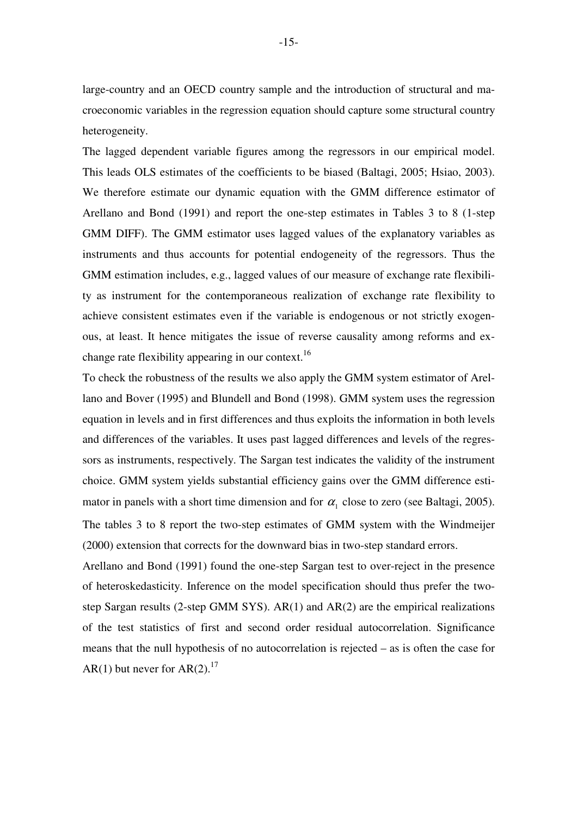large-country and an OECD country sample and the introduction of structural and macroeconomic variables in the regression equation should capture some structural country heterogeneity.

The lagged dependent variable figures among the regressors in our empirical model. This leads OLS estimates of the coefficients to be biased (Baltagi, 2005; Hsiao, 2003). We therefore estimate our dynamic equation with the GMM difference estimator of Arellano and Bond (1991) and report the one-step estimates in Tables 3 to 8 (1-step GMM DIFF). The GMM estimator uses lagged values of the explanatory variables as instruments and thus accounts for potential endogeneity of the regressors. Thus the GMM estimation includes, e.g., lagged values of our measure of exchange rate flexibility as instrument for the contemporaneous realization of exchange rate flexibility to achieve consistent estimates even if the variable is endogenous or not strictly exogenous, at least. It hence mitigates the issue of reverse causality among reforms and exchange rate flexibility appearing in our context.<sup>16</sup>

To check the robustness of the results we also apply the GMM system estimator of Arellano and Bover (1995) and Blundell and Bond (1998). GMM system uses the regression equation in levels and in first differences and thus exploits the information in both levels and differences of the variables. It uses past lagged differences and levels of the regressors as instruments, respectively. The Sargan test indicates the validity of the instrument choice. GMM system yields substantial efficiency gains over the GMM difference estimator in panels with a short time dimension and for  $\alpha_1$  close to zero (see Baltagi, 2005). The tables 3 to 8 report the two-step estimates of GMM system with the Windmeijer (2000) extension that corrects for the downward bias in two-step standard errors.

Arellano and Bond (1991) found the one-step Sargan test to over-reject in the presence of heteroskedasticity. Inference on the model specification should thus prefer the twostep Sargan results (2-step GMM SYS). AR(1) and AR(2) are the empirical realizations of the test statistics of first and second order residual autocorrelation. Significance means that the null hypothesis of no autocorrelation is rejected – as is often the case for AR(1) but never for AR(2).<sup>17</sup>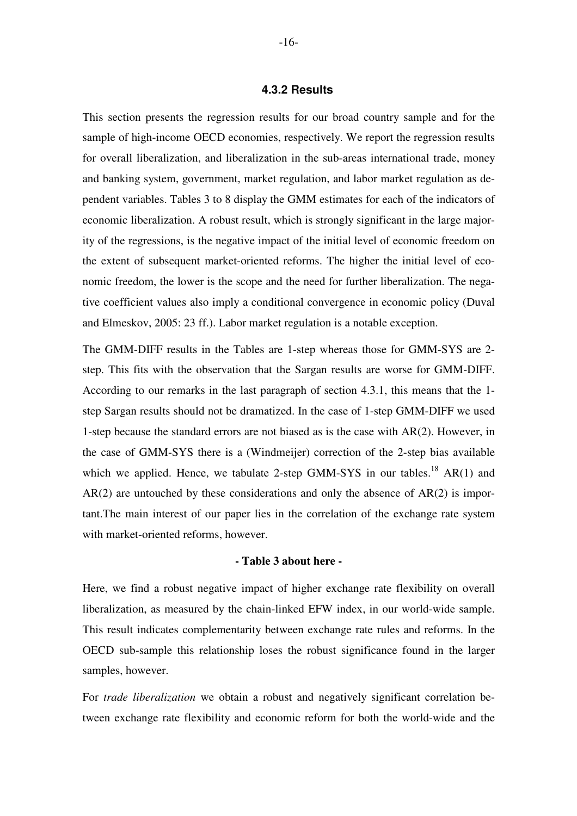#### **4.3.2 Results**

This section presents the regression results for our broad country sample and for the sample of high-income OECD economies, respectively. We report the regression results for overall liberalization, and liberalization in the sub-areas international trade, money and banking system, government, market regulation, and labor market regulation as dependent variables. Tables 3 to 8 display the GMM estimates for each of the indicators of economic liberalization. A robust result, which is strongly significant in the large majority of the regressions, is the negative impact of the initial level of economic freedom on the extent of subsequent market-oriented reforms. The higher the initial level of economic freedom, the lower is the scope and the need for further liberalization. The negative coefficient values also imply a conditional convergence in economic policy (Duval and Elmeskov, 2005: 23 ff.). Labor market regulation is a notable exception.

The GMM-DIFF results in the Tables are 1-step whereas those for GMM-SYS are 2 step. This fits with the observation that the Sargan results are worse for GMM-DIFF. According to our remarks in the last paragraph of section 4.3.1, this means that the 1 step Sargan results should not be dramatized. In the case of 1-step GMM-DIFF we used 1-step because the standard errors are not biased as is the case with AR(2). However, in the case of GMM-SYS there is a (Windmeijer) correction of the 2-step bias available which we applied. Hence, we tabulate 2-step GMM-SYS in our tables.<sup>18</sup> AR(1) and  $AR(2)$  are untouched by these considerations and only the absence of  $AR(2)$  is important.The main interest of our paper lies in the correlation of the exchange rate system with market-oriented reforms, however.

#### **- Table 3 about here -**

Here, we find a robust negative impact of higher exchange rate flexibility on overall liberalization, as measured by the chain-linked EFW index, in our world-wide sample. This result indicates complementarity between exchange rate rules and reforms. In the OECD sub-sample this relationship loses the robust significance found in the larger samples, however.

For *trade liberalization* we obtain a robust and negatively significant correlation between exchange rate flexibility and economic reform for both the world-wide and the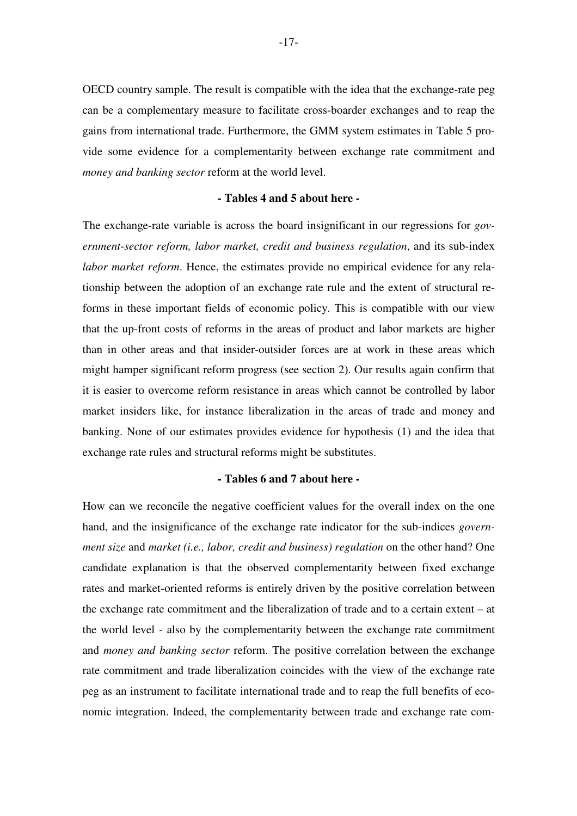OECD country sample. The result is compatible with the idea that the exchange-rate peg can be a complementary measure to facilitate cross-boarder exchanges and to reap the gains from international trade. Furthermore, the GMM system estimates in Table 5 provide some evidence for a complementarity between exchange rate commitment and *money and banking sector* reform at the world level.

#### **- Tables 4 and 5 about here -**

The exchange-rate variable is across the board insignificant in our regressions for *government-sector reform, labor market, credit and business regulation*, and its sub-index *labor market reform*. Hence, the estimates provide no empirical evidence for any relationship between the adoption of an exchange rate rule and the extent of structural reforms in these important fields of economic policy. This is compatible with our view that the up-front costs of reforms in the areas of product and labor markets are higher than in other areas and that insider-outsider forces are at work in these areas which might hamper significant reform progress (see section 2). Our results again confirm that it is easier to overcome reform resistance in areas which cannot be controlled by labor market insiders like, for instance liberalization in the areas of trade and money and banking. None of our estimates provides evidence for hypothesis (1) and the idea that exchange rate rules and structural reforms might be substitutes.

#### **- Tables 6 and 7 about here -**

How can we reconcile the negative coefficient values for the overall index on the one hand, and the insignificance of the exchange rate indicator for the sub-indices *government size* and *market (i.e., labor, credit and business) regulation* on the other hand? One candidate explanation is that the observed complementarity between fixed exchange rates and market-oriented reforms is entirely driven by the positive correlation between the exchange rate commitment and the liberalization of trade and to a certain extent – at the world level - also by the complementarity between the exchange rate commitment and *money and banking sector* reform. The positive correlation between the exchange rate commitment and trade liberalization coincides with the view of the exchange rate peg as an instrument to facilitate international trade and to reap the full benefits of economic integration. Indeed, the complementarity between trade and exchange rate com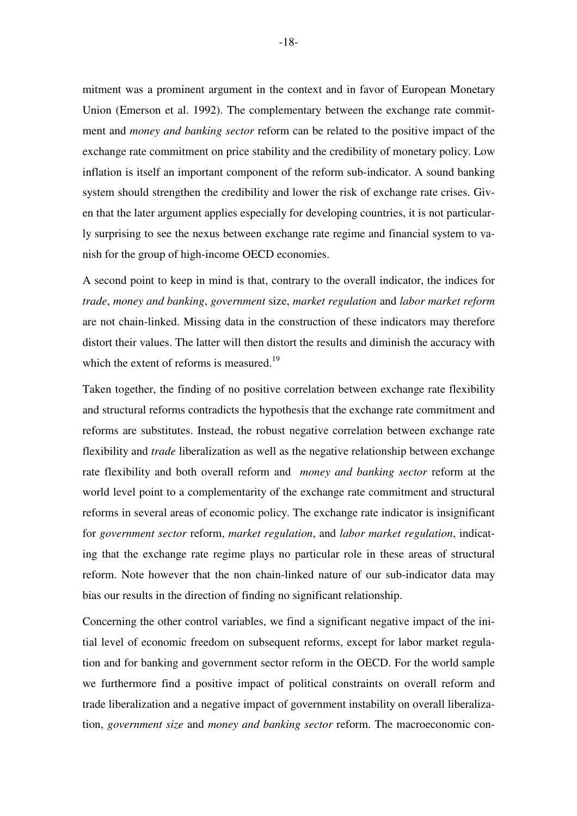mitment was a prominent argument in the context and in favor of European Monetary Union (Emerson et al. 1992). The complementary between the exchange rate commitment and *money and banking sector* reform can be related to the positive impact of the exchange rate commitment on price stability and the credibility of monetary policy. Low inflation is itself an important component of the reform sub-indicator. A sound banking system should strengthen the credibility and lower the risk of exchange rate crises. Given that the later argument applies especially for developing countries, it is not particularly surprising to see the nexus between exchange rate regime and financial system to vanish for the group of high-income OECD economies.

A second point to keep in mind is that, contrary to the overall indicator, the indices for *trade*, *money and banking*, *government* size, *market regulation* and *labor market reform* are not chain-linked. Missing data in the construction of these indicators may therefore distort their values. The latter will then distort the results and diminish the accuracy with which the extent of reforms is measured.<sup>19</sup>

Taken together, the finding of no positive correlation between exchange rate flexibility and structural reforms contradicts the hypothesis that the exchange rate commitment and reforms are substitutes. Instead, the robust negative correlation between exchange rate flexibility and *trade* liberalization as well as the negative relationship between exchange rate flexibility and both overall reform and *money and banking sector* reform at the world level point to a complementarity of the exchange rate commitment and structural reforms in several areas of economic policy. The exchange rate indicator is insignificant for *government sector* reform, *market regulation*, and *labor market regulation*, indicating that the exchange rate regime plays no particular role in these areas of structural reform. Note however that the non chain-linked nature of our sub-indicator data may bias our results in the direction of finding no significant relationship.

Concerning the other control variables, we find a significant negative impact of the initial level of economic freedom on subsequent reforms, except for labor market regulation and for banking and government sector reform in the OECD. For the world sample we furthermore find a positive impact of political constraints on overall reform and trade liberalization and a negative impact of government instability on overall liberalization, *government size* and *money and banking sector* reform. The macroeconomic con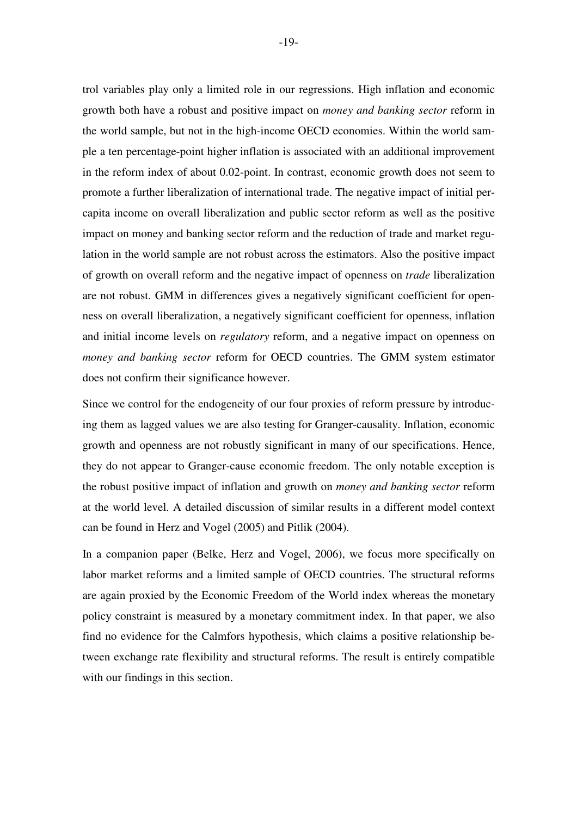trol variables play only a limited role in our regressions. High inflation and economic growth both have a robust and positive impact on *money and banking sector* reform in the world sample, but not in the high-income OECD economies. Within the world sample a ten percentage-point higher inflation is associated with an additional improvement in the reform index of about 0.02-point. In contrast, economic growth does not seem to promote a further liberalization of international trade. The negative impact of initial percapita income on overall liberalization and public sector reform as well as the positive impact on money and banking sector reform and the reduction of trade and market regulation in the world sample are not robust across the estimators. Also the positive impact of growth on overall reform and the negative impact of openness on *trade* liberalization are not robust. GMM in differences gives a negatively significant coefficient for openness on overall liberalization, a negatively significant coefficient for openness, inflation and initial income levels on *regulatory* reform, and a negative impact on openness on *money and banking sector* reform for OECD countries. The GMM system estimator does not confirm their significance however.

Since we control for the endogeneity of our four proxies of reform pressure by introducing them as lagged values we are also testing for Granger-causality. Inflation, economic growth and openness are not robustly significant in many of our specifications. Hence, they do not appear to Granger-cause economic freedom. The only notable exception is the robust positive impact of inflation and growth on *money and banking sector* reform at the world level. A detailed discussion of similar results in a different model context can be found in Herz and Vogel (2005) and Pitlik (2004).

In a companion paper (Belke, Herz and Vogel, 2006), we focus more specifically on labor market reforms and a limited sample of OECD countries. The structural reforms are again proxied by the Economic Freedom of the World index whereas the monetary policy constraint is measured by a monetary commitment index. In that paper, we also find no evidence for the Calmfors hypothesis, which claims a positive relationship between exchange rate flexibility and structural reforms. The result is entirely compatible with our findings in this section.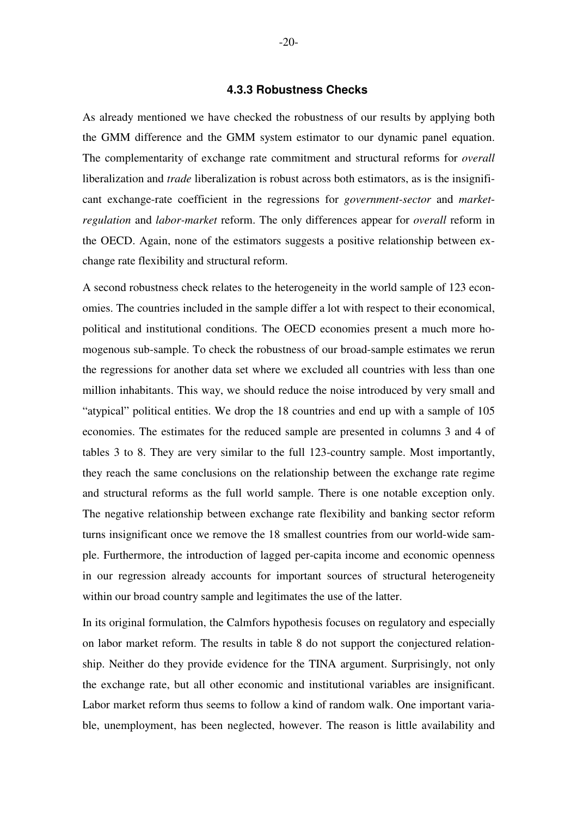#### **4.3.3 Robustness Checks**

As already mentioned we have checked the robustness of our results by applying both the GMM difference and the GMM system estimator to our dynamic panel equation. The complementarity of exchange rate commitment and structural reforms for *overall*  liberalization and *trade* liberalization is robust across both estimators, as is the insignificant exchange-rate coefficient in the regressions for *government-sector* and *marketregulation* and *labor-market* reform. The only differences appear for *overall* reform in the OECD. Again, none of the estimators suggests a positive relationship between exchange rate flexibility and structural reform.

A second robustness check relates to the heterogeneity in the world sample of 123 economies. The countries included in the sample differ a lot with respect to their economical, political and institutional conditions. The OECD economies present a much more homogenous sub-sample. To check the robustness of our broad-sample estimates we rerun the regressions for another data set where we excluded all countries with less than one million inhabitants. This way, we should reduce the noise introduced by very small and "atypical" political entities. We drop the 18 countries and end up with a sample of 105 economies. The estimates for the reduced sample are presented in columns 3 and 4 of tables 3 to 8. They are very similar to the full 123-country sample. Most importantly, they reach the same conclusions on the relationship between the exchange rate regime and structural reforms as the full world sample. There is one notable exception only. The negative relationship between exchange rate flexibility and banking sector reform turns insignificant once we remove the 18 smallest countries from our world-wide sample. Furthermore, the introduction of lagged per-capita income and economic openness in our regression already accounts for important sources of structural heterogeneity within our broad country sample and legitimates the use of the latter.

In its original formulation, the Calmfors hypothesis focuses on regulatory and especially on labor market reform. The results in table 8 do not support the conjectured relationship. Neither do they provide evidence for the TINA argument. Surprisingly, not only the exchange rate, but all other economic and institutional variables are insignificant. Labor market reform thus seems to follow a kind of random walk. One important variable, unemployment, has been neglected, however. The reason is little availability and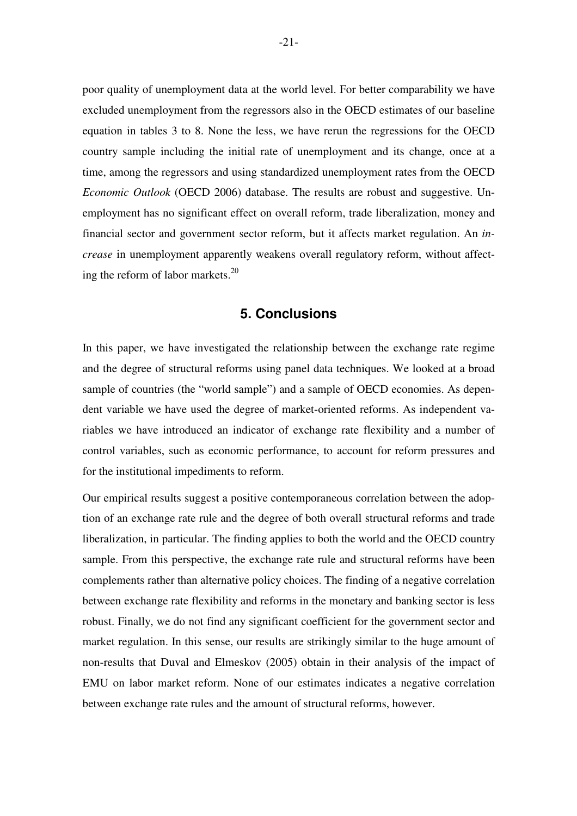poor quality of unemployment data at the world level. For better comparability we have excluded unemployment from the regressors also in the OECD estimates of our baseline equation in tables 3 to 8. None the less, we have rerun the regressions for the OECD country sample including the initial rate of unemployment and its change, once at a time, among the regressors and using standardized unemployment rates from the OECD *Economic Outlook* (OECD 2006) database. The results are robust and suggestive. Unemployment has no significant effect on overall reform, trade liberalization, money and financial sector and government sector reform, but it affects market regulation. An *increase* in unemployment apparently weakens overall regulatory reform, without affecting the reform of labor markets.<sup>20</sup>

## **5. Conclusions**

In this paper, we have investigated the relationship between the exchange rate regime and the degree of structural reforms using panel data techniques. We looked at a broad sample of countries (the "world sample") and a sample of OECD economies. As dependent variable we have used the degree of market-oriented reforms. As independent variables we have introduced an indicator of exchange rate flexibility and a number of control variables, such as economic performance, to account for reform pressures and for the institutional impediments to reform.

Our empirical results suggest a positive contemporaneous correlation between the adoption of an exchange rate rule and the degree of both overall structural reforms and trade liberalization, in particular. The finding applies to both the world and the OECD country sample. From this perspective, the exchange rate rule and structural reforms have been complements rather than alternative policy choices. The finding of a negative correlation between exchange rate flexibility and reforms in the monetary and banking sector is less robust. Finally, we do not find any significant coefficient for the government sector and market regulation. In this sense, our results are strikingly similar to the huge amount of non-results that Duval and Elmeskov (2005) obtain in their analysis of the impact of EMU on labor market reform. None of our estimates indicates a negative correlation between exchange rate rules and the amount of structural reforms, however.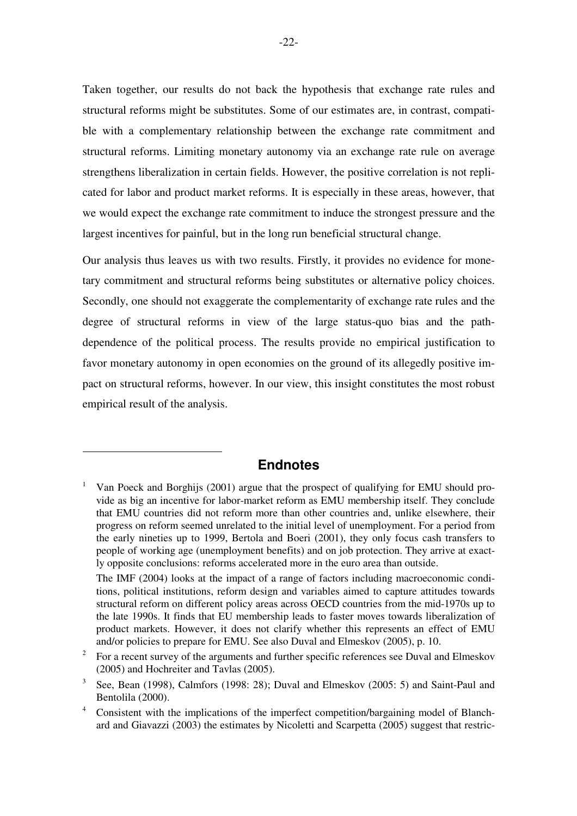Taken together, our results do not back the hypothesis that exchange rate rules and structural reforms might be substitutes. Some of our estimates are, in contrast, compatible with a complementary relationship between the exchange rate commitment and structural reforms. Limiting monetary autonomy via an exchange rate rule on average strengthens liberalization in certain fields. However, the positive correlation is not replicated for labor and product market reforms. It is especially in these areas, however, that we would expect the exchange rate commitment to induce the strongest pressure and the largest incentives for painful, but in the long run beneficial structural change.

Our analysis thus leaves us with two results. Firstly, it provides no evidence for monetary commitment and structural reforms being substitutes or alternative policy choices. Secondly, one should not exaggerate the complementarity of exchange rate rules and the degree of structural reforms in view of the large status-quo bias and the pathdependence of the political process. The results provide no empirical justification to favor monetary autonomy in open economies on the ground of its allegedly positive impact on structural reforms, however. In our view, this insight constitutes the most robust empirical result of the analysis.

## **Endnotes**

-

 The IMF (2004) looks at the impact of a range of factors including macroeconomic conditions, political institutions, reform design and variables aimed to capture attitudes towards structural reform on different policy areas across OECD countries from the mid-1970s up to the late 1990s. It finds that EU membership leads to faster moves towards liberalization of product markets. However, it does not clarify whether this represents an effect of EMU and/or policies to prepare for EMU. See also Duval and Elmeskov (2005), p. 10.

- 2 For a recent survey of the arguments and further specific references see Duval and Elmeskov (2005) and Hochreiter and Tavlas (2005).
- 3 See, Bean (1998), Calmfors (1998: 28); Duval and Elmeskov (2005: 5) and Saint-Paul and Bentolila (2000).
- 4 Consistent with the implications of the imperfect competition/bargaining model of Blanchard and Giavazzi (2003) the estimates by Nicoletti and Scarpetta (2005) suggest that restric-

<sup>1</sup> Van Poeck and Borghijs (2001) argue that the prospect of qualifying for EMU should provide as big an incentive for labor-market reform as EMU membership itself. They conclude that EMU countries did not reform more than other countries and, unlike elsewhere, their progress on reform seemed unrelated to the initial level of unemployment. For a period from the early nineties up to 1999, Bertola and Boeri (2001), they only focus cash transfers to people of working age (unemployment benefits) and on job protection. They arrive at exactly opposite conclusions: reforms accelerated more in the euro area than outside.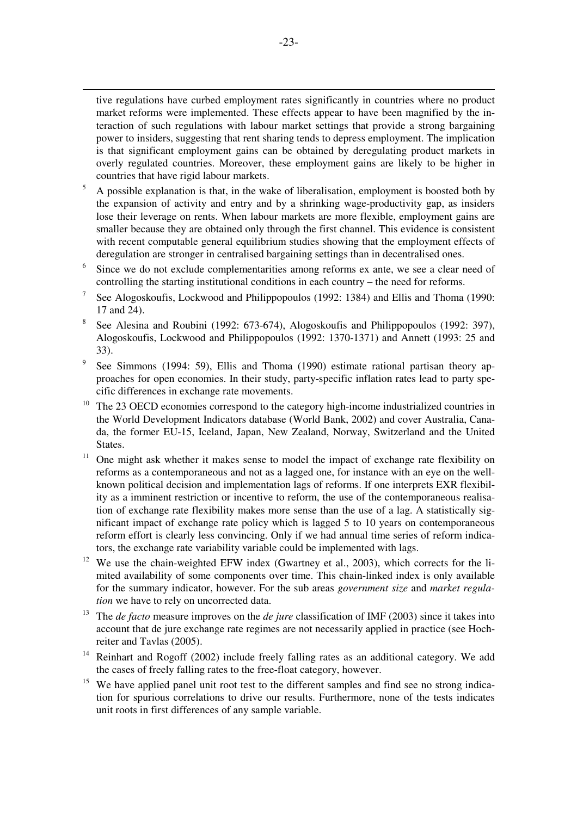tive regulations have curbed employment rates significantly in countries where no product market reforms were implemented. These effects appear to have been magnified by the interaction of such regulations with labour market settings that provide a strong bargaining power to insiders, suggesting that rent sharing tends to depress employment. The implication is that significant employment gains can be obtained by deregulating product markets in overly regulated countries. Moreover, these employment gains are likely to be higher in countries that have rigid labour markets.

- 5 A possible explanation is that, in the wake of liberalisation, employment is boosted both by the expansion of activity and entry and by a shrinking wage-productivity gap, as insiders lose their leverage on rents. When labour markets are more flexible, employment gains are smaller because they are obtained only through the first channel. This evidence is consistent with recent computable general equilibrium studies showing that the employment effects of deregulation are stronger in centralised bargaining settings than in decentralised ones.
- 6 Since we do not exclude complementarities among reforms ex ante, we see a clear need of controlling the starting institutional conditions in each country – the need for reforms.
- 7 See Alogoskoufis, Lockwood and Philippopoulos (1992: 1384) and Ellis and Thoma (1990: 17 and 24).
- 8 See Alesina and Roubini (1992: 673-674), Alogoskoufis and Philippopoulos (1992: 397), Alogoskoufis, Lockwood and Philippopoulos (1992: 1370-1371) and Annett (1993: 25 and 33).
- 9 See Simmons (1994: 59), Ellis and Thoma (1990) estimate rational partisan theory approaches for open economies. In their study, party-specific inflation rates lead to party specific differences in exchange rate movements.
- $10$  The 23 OECD economies correspond to the category high-income industrialized countries in the World Development Indicators database (World Bank, 2002) and cover Australia, Canada, the former EU-15, Iceland, Japan, New Zealand, Norway, Switzerland and the United States.
- $11$  One might ask whether it makes sense to model the impact of exchange rate flexibility on reforms as a contemporaneous and not as a lagged one, for instance with an eye on the wellknown political decision and implementation lags of reforms. If one interprets EXR flexibility as a imminent restriction or incentive to reform, the use of the contemporaneous realisation of exchange rate flexibility makes more sense than the use of a lag. A statistically significant impact of exchange rate policy which is lagged 5 to 10 years on contemporaneous reform effort is clearly less convincing. Only if we had annual time series of reform indicators, the exchange rate variability variable could be implemented with lags.
- <sup>12</sup> We use the chain-weighted EFW index (Gwartney et al., 2003), which corrects for the limited availability of some components over time. This chain-linked index is only available for the summary indicator, however. For the sub areas *government size* and *market regulation* we have to rely on uncorrected data.
- <sup>13</sup> The *de facto* measure improves on the *de jure* classification of IMF (2003) since it takes into account that de jure exchange rate regimes are not necessarily applied in practice (see Hochreiter and Tavlas (2005).
- <sup>14</sup> Reinhart and Rogoff (2002) include freely falling rates as an additional category. We add the cases of freely falling rates to the free-float category, however.
- <sup>15</sup> We have applied panel unit root test to the different samples and find see no strong indication for spurious correlations to drive our results. Furthermore, none of the tests indicates unit roots in first differences of any sample variable.

-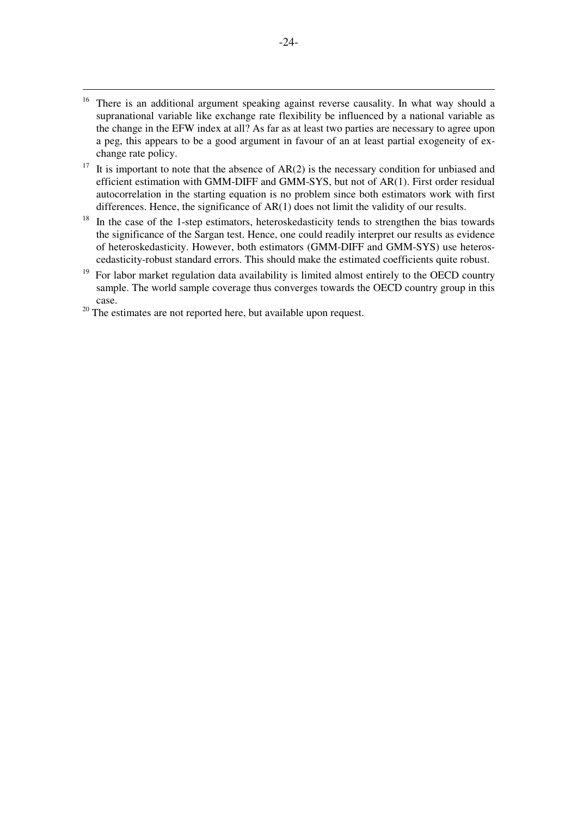- <sup>16</sup> There is an additional argument speaking against reverse causality. In what way should a supranational variable like exchange rate flexibility be influenced by a national variable as the change in the EFW index at all? As far as at least two parties are necessary to agree upon a peg, this appears to be a good argument in favour of an at least partial exogeneity of exchange rate policy.
- <sup>17</sup> It is important to note that the absence of  $AR(2)$  is the necessary condition for unbiased and efficient estimation with GMM-DIFF and GMM-SYS, but not of AR(1). First order residual autocorrelation in the starting equation is no problem since both estimators work with first differences. Hence, the significance of AR(1) does not limit the validity of our results.
- <sup>18</sup> In the case of the 1-step estimators, heteroskedasticity tends to strengthen the bias towards the significance of the Sargan test. Hence, one could readily interpret our results as evidence of heteroskedasticity. However, both estimators (GMM-DIFF and GMM-SYS) use heteroscedasticity-robust standard errors. This should make the estimated coefficients quite robust.
- <sup>19</sup> For labor market regulation data availability is limited almost entirely to the OECD country sample. The world sample coverage thus converges towards the OECD country group in this case.

 $20$  The estimates are not reported here, but available upon request.

-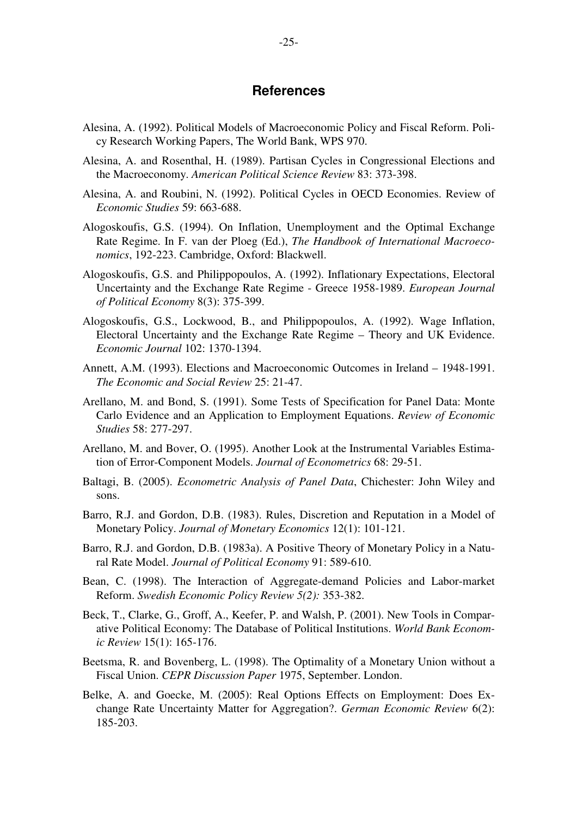## **References**

- Alesina, A. (1992). Political Models of Macroeconomic Policy and Fiscal Reform. Policy Research Working Papers, The World Bank, WPS 970.
- Alesina, A. and Rosenthal, H. (1989). Partisan Cycles in Congressional Elections and the Macroeconomy. *American Political Science Review* 83: 373-398.
- Alesina, A. and Roubini, N. (1992). Political Cycles in OECD Economies. Review of *Economic Studies* 59: 663-688.
- Alogoskoufis, G.S. (1994). On Inflation, Unemployment and the Optimal Exchange Rate Regime. In F. van der Ploeg (Ed.), *The Handbook of International Macroeconomics*, 192-223. Cambridge, Oxford: Blackwell.
- Alogoskoufis, G.S. and Philippopoulos, A. (1992). Inflationary Expectations, Electoral Uncertainty and the Exchange Rate Regime - Greece 1958-1989. *European Journal of Political Economy* 8(3): 375-399.
- Alogoskoufis, G.S., Lockwood, B., and Philippopoulos, A. (1992). Wage Inflation, Electoral Uncertainty and the Exchange Rate Regime – Theory and UK Evidence. *Economic Journal* 102: 1370-1394.
- Annett, A.M. (1993). Elections and Macroeconomic Outcomes in Ireland 1948-1991. *The Economic and Social Review* 25: 21-47.
- Arellano, M. and Bond, S. (1991). Some Tests of Specification for Panel Data: Monte Carlo Evidence and an Application to Employment Equations. *Review of Economic Studies* 58: 277-297.
- Arellano, M. and Bover, O. (1995). Another Look at the Instrumental Variables Estimation of Error-Component Models. *Journal of Econometrics* 68: 29-51.
- Baltagi, B. (2005). *Econometric Analysis of Panel Data*, Chichester: John Wiley and sons.
- Barro, R.J. and Gordon, D.B. (1983). Rules, Discretion and Reputation in a Model of Monetary Policy. *Journal of Monetary Economics* 12(1): 101-121.
- Barro, R.J. and Gordon, D.B. (1983a). A Positive Theory of Monetary Policy in a Natural Rate Model. *Journal of Political Economy* 91: 589-610.
- Bean, C. (1998). The Interaction of Aggregate-demand Policies and Labor-market Reform. *Swedish Economic Policy Review 5(2):* 353-382.
- Beck, T., Clarke, G., Groff, A., Keefer, P. and Walsh, P. (2001). New Tools in Comparative Political Economy: The Database of Political Institutions. *World Bank Economic Review* 15(1): 165-176.
- Beetsma, R. and Bovenberg, L. (1998). The Optimality of a Monetary Union without a Fiscal Union. *CEPR Discussion Paper* 1975, September. London.
- Belke, A. and Goecke, M. (2005): Real Options Effects on Employment: Does Exchange Rate Uncertainty Matter for Aggregation?. *German Economic Review* 6(2): 185-203.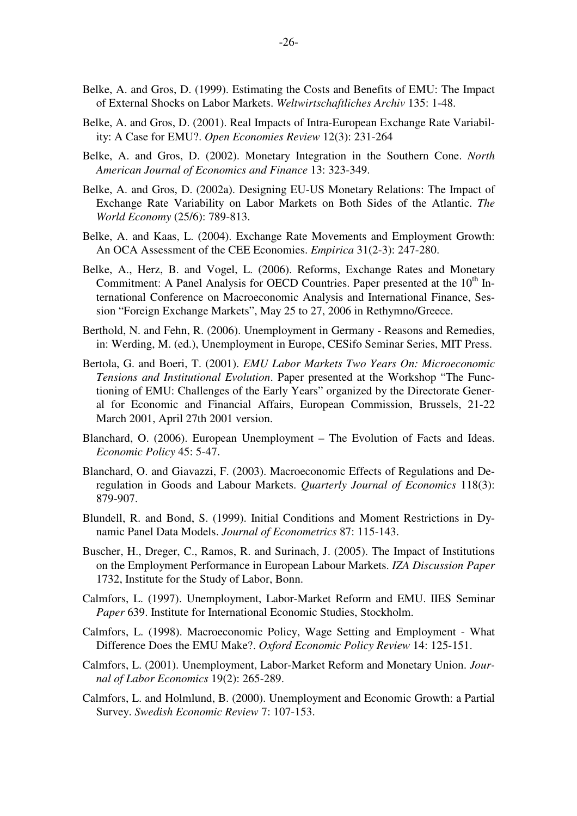- Belke, A. and Gros, D. (1999). Estimating the Costs and Benefits of EMU: The Impact of External Shocks on Labor Markets. *Weltwirtschaftliches Archiv* 135: 1-48.
- Belke, A. and Gros, D. (2001). Real Impacts of Intra-European Exchange Rate Variability: A Case for EMU?. *Open Economies Review* 12(3): 231-264
- Belke, A. and Gros, D. (2002). Monetary Integration in the Southern Cone. *North American Journal of Economics and Finance* 13: 323-349.
- Belke, A. and Gros, D. (2002a). Designing EU-US Monetary Relations: The Impact of Exchange Rate Variability on Labor Markets on Both Sides of the Atlantic. *The World Economy* (25/6): 789-813.
- Belke, A. and Kaas, L. (2004). Exchange Rate Movements and Employment Growth: An OCA Assessment of the CEE Economies. *Empirica* 31(2-3): 247-280.
- Belke, A., Herz, B. and Vogel, L. (2006). Reforms, Exchange Rates and Monetary Commitment: A Panel Analysis for OECD Countries. Paper presented at the 10<sup>th</sup> International Conference on Macroeconomic Analysis and International Finance, Session "Foreign Exchange Markets", May 25 to 27, 2006 in Rethymno/Greece.
- Berthold, N. and Fehn, R. (2006). Unemployment in Germany Reasons and Remedies, in: Werding, M. (ed.), Unemployment in Europe, CESifo Seminar Series, MIT Press.
- Bertola, G. and Boeri, T. (2001). *EMU Labor Markets Two Years On: Microeconomic Tensions and Institutional Evolution*. Paper presented at the Workshop "The Functioning of EMU: Challenges of the Early Years" organized by the Directorate General for Economic and Financial Affairs, European Commission, Brussels, 21-22 March 2001, April 27th 2001 version.
- Blanchard, O. (2006). European Unemployment The Evolution of Facts and Ideas. *Economic Policy* 45: 5-47.
- Blanchard, O. and Giavazzi, F. (2003). Macroeconomic Effects of Regulations and Deregulation in Goods and Labour Markets. *Quarterly Journal of Economics* 118(3): 879-907.
- Blundell, R. and Bond, S. (1999). Initial Conditions and Moment Restrictions in Dynamic Panel Data Models. *Journal of Econometrics* 87: 115-143.
- Buscher, H., Dreger, C., Ramos, R. and Surinach, J. (2005). The Impact of Institutions on the Employment Performance in European Labour Markets. *IZA Discussion Paper* 1732, Institute for the Study of Labor, Bonn.
- Calmfors, L. (1997). Unemployment, Labor-Market Reform and EMU. IIES Seminar *Paper* 639. Institute for International Economic Studies, Stockholm.
- Calmfors, L. (1998). Macroeconomic Policy, Wage Setting and Employment What Difference Does the EMU Make?. *Oxford Economic Policy Review* 14: 125-151.
- Calmfors, L. (2001). Unemployment, Labor-Market Reform and Monetary Union. *Journal of Labor Economics* 19(2): 265-289.
- Calmfors, L. and Holmlund, B. (2000). Unemployment and Economic Growth: a Partial Survey. *Swedish Economic Review* 7: 107-153.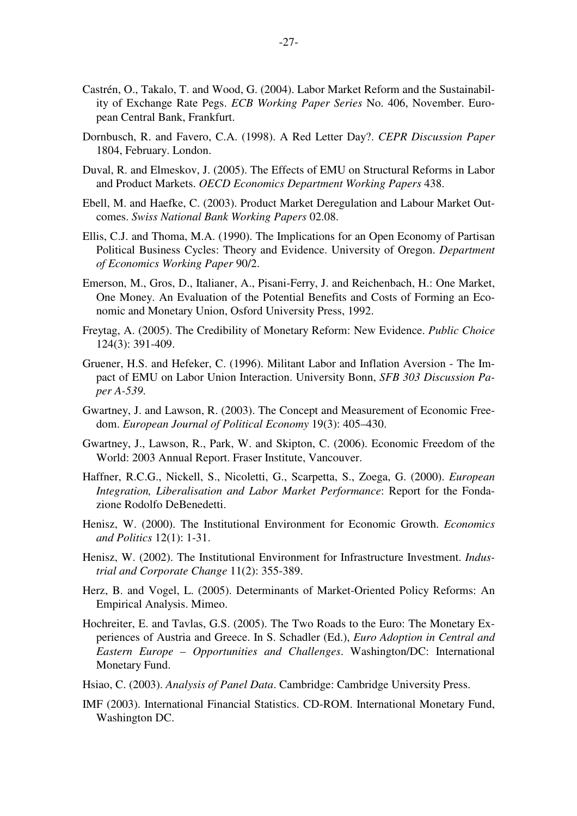- Castrén, O., Takalo, T. and Wood, G. (2004). Labor Market Reform and the Sustainability of Exchange Rate Pegs. *ECB Working Paper Series* No. 406, November. European Central Bank, Frankfurt.
- Dornbusch, R. and Favero, C.A. (1998). A Red Letter Day?. *CEPR Discussion Paper* 1804, February. London.
- Duval, R. and Elmeskov, J. (2005). The Effects of EMU on Structural Reforms in Labor and Product Markets. *OECD Economics Department Working Papers* 438.
- Ebell, M. and Haefke, C. (2003). Product Market Deregulation and Labour Market Outcomes. *Swiss National Bank Working Papers* 02.08.
- Ellis, C.J. and Thoma, M.A. (1990). The Implications for an Open Economy of Partisan Political Business Cycles: Theory and Evidence. University of Oregon. *Department of Economics Working Paper* 90/2.
- Emerson, M., Gros, D., Italianer, A., Pisani-Ferry, J. and Reichenbach, H.: One Market, One Money. An Evaluation of the Potential Benefits and Costs of Forming an Economic and Monetary Union, Osford University Press, 1992.
- Freytag, A. (2005). The Credibility of Monetary Reform: New Evidence. *Public Choice* 124(3): 391-409.
- Gruener, H.S. and Hefeker, C. (1996). Militant Labor and Inflation Aversion The Impact of EMU on Labor Union Interaction. University Bonn, *SFB 303 Discussion Paper A-539*.
- Gwartney, J. and Lawson, R. (2003). The Concept and Measurement of Economic Freedom. *European Journal of Political Economy* 19(3): 405–430.
- Gwartney, J., Lawson, R., Park, W. and Skipton, C. (2006). Economic Freedom of the World: 2003 Annual Report. Fraser Institute, Vancouver.
- Haffner, R.C.G., Nickell, S., Nicoletti, G., Scarpetta, S., Zoega, G. (2000). *European Integration, Liberalisation and Labor Market Performance*: Report for the Fondazione Rodolfo DeBenedetti.
- Henisz, W. (2000). The Institutional Environment for Economic Growth. *Economics and Politics* 12(1): 1-31.
- Henisz, W. (2002). The Institutional Environment for Infrastructure Investment. *Industrial and Corporate Change* 11(2): 355-389.
- Herz, B. and Vogel, L. (2005). Determinants of Market-Oriented Policy Reforms: An Empirical Analysis. Mimeo.
- Hochreiter, E. and Tavlas, G.S. (2005). The Two Roads to the Euro: The Monetary Experiences of Austria and Greece. In S. Schadler (Ed.), *Euro Adoption in Central and Eastern Europe – Opportunities and Challenges*. Washington/DC: International Monetary Fund.
- Hsiao, C. (2003). *Analysis of Panel Data*. Cambridge: Cambridge University Press.
- IMF (2003). International Financial Statistics. CD-ROM. International Monetary Fund, Washington DC.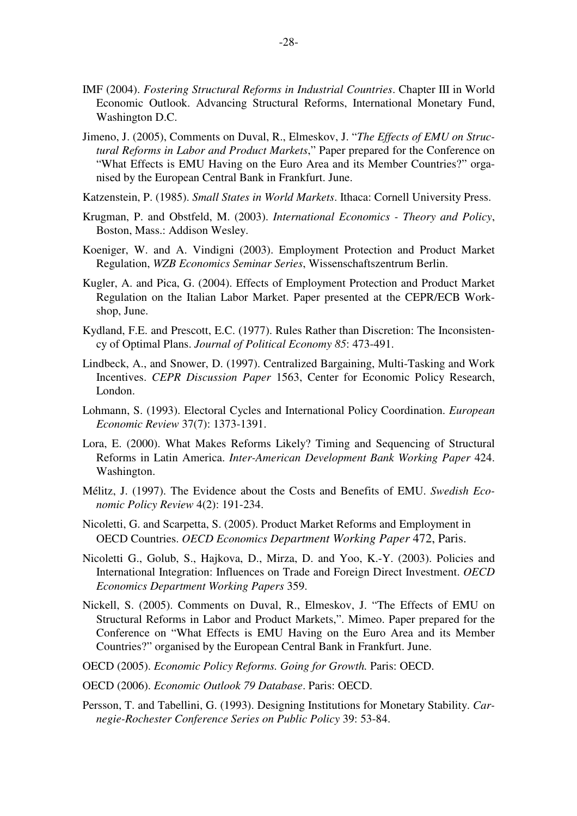- IMF (2004). *Fostering Structural Reforms in Industrial Countries*. Chapter III in World Economic Outlook. Advancing Structural Reforms, International Monetary Fund, Washington D.C.
- Jimeno, J. (2005), Comments on Duval, R., Elmeskov, J. "*The Effects of EMU on Structural Reforms in Labor and Product Markets*," Paper prepared for the Conference on "What Effects is EMU Having on the Euro Area and its Member Countries?" organised by the European Central Bank in Frankfurt. June.
- Katzenstein, P. (1985). *Small States in World Markets*. Ithaca: Cornell University Press.
- Krugman, P. and Obstfeld, M. (2003). *International Economics Theory and Policy*, Boston, Mass.: Addison Wesley.
- Koeniger, W. and A. Vindigni (2003). Employment Protection and Product Market Regulation, *WZB Economics Seminar Series*, Wissenschaftszentrum Berlin.
- Kugler, A. and Pica, G. (2004). Effects of Employment Protection and Product Market Regulation on the Italian Labor Market. Paper presented at the CEPR/ECB Workshop, June.
- Kydland, F.E. and Prescott, E.C. (1977). Rules Rather than Discretion: The Inconsistency of Optimal Plans. *Journal of Political Economy 85*: 473-491.
- Lindbeck, A., and Snower, D. (1997). Centralized Bargaining, Multi-Tasking and Work Incentives. *CEPR Discussion Paper* 1563, Center for Economic Policy Research, London.
- Lohmann, S. (1993). Electoral Cycles and International Policy Coordination. *European Economic Review* 37(7): 1373-1391.
- Lora, E. (2000). What Makes Reforms Likely? Timing and Sequencing of Structural Reforms in Latin America. *Inter-American Development Bank Working Paper* 424. Washington.
- Mélitz, J. (1997). The Evidence about the Costs and Benefits of EMU. *Swedish Economic Policy Review* 4(2): 191-234.
- Nicoletti, G. and Scarpetta, S. (2005). Product Market Reforms and Employment in OECD Countries. *OECD Economics Department Working Paper* 472, Paris.
- Nicoletti G., Golub, S., Hajkova, D., Mirza, D. and Yoo, K.-Y. (2003). Policies and International Integration: Influences on Trade and Foreign Direct Investment. *OECD Economics Department Working Papers* 359.
- Nickell, S. (2005). Comments on Duval, R., Elmeskov, J. "The Effects of EMU on Structural Reforms in Labor and Product Markets,". Mimeo. Paper prepared for the Conference on "What Effects is EMU Having on the Euro Area and its Member Countries?" organised by the European Central Bank in Frankfurt. June.
- OECD (2005). *Economic Policy Reforms. Going for Growth.* Paris: OECD.
- OECD (2006). *Economic Outlook 79 Database*. Paris: OECD.
- Persson, T. and Tabellini, G. (1993). Designing Institutions for Monetary Stability. *Carnegie-Rochester Conference Series on Public Policy* 39: 53-84.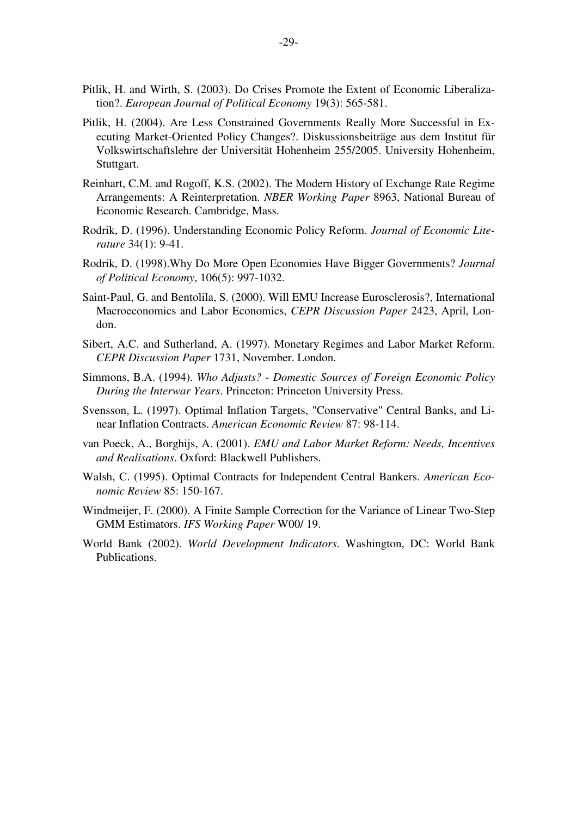- Pitlik, H. and Wirth, S. (2003). Do Crises Promote the Extent of Economic Liberalization?. *European Journal of Political Economy* 19(3): 565-581.
- Pitlik, H. (2004). Are Less Constrained Governments Really More Successful in Executing Market-Oriented Policy Changes?. Diskussionsbeiträge aus dem Institut für Volkswirtschaftslehre der Universität Hohenheim 255/2005. University Hohenheim, Stuttgart.
- Reinhart, C.M. and Rogoff, K.S. (2002). The Modern History of Exchange Rate Regime Arrangements: A Reinterpretation. *NBER Working Paper* 8963, National Bureau of Economic Research. Cambridge, Mass.
- Rodrik, D. (1996). Understanding Economic Policy Reform. *Journal of Economic Literature* 34(1): 9-41.
- Rodrik, D. (1998).Why Do More Open Economies Have Bigger Governments? *Journal of Political Economy*, 106(5): 997-1032.
- Saint-Paul, G. and Bentolila, S. (2000). Will EMU Increase Eurosclerosis?, International Macroeconomics and Labor Economics, *CEPR Discussion Paper* 2423, April, London.
- Sibert, A.C. and Sutherland, A. (1997). Monetary Regimes and Labor Market Reform. *CEPR Discussion Paper* 1731, November. London.
- Simmons, B.A. (1994). *Who Adjusts? Domestic Sources of Foreign Economic Policy During the Interwar Years*. Princeton: Princeton University Press.
- Svensson, L. (1997). Optimal Inflation Targets, "Conservative" Central Banks, and Linear Inflation Contracts. *American Economic Review* 87: 98-114.
- van Poeck, A., Borghijs, A. (2001). *EMU and Labor Market Reform: Needs, Incentives and Realisations*. Oxford: Blackwell Publishers.
- Walsh, C. (1995). Optimal Contracts for Independent Central Bankers. *American Economic Review* 85: 150-167.
- Windmeijer, F. (2000). A Finite Sample Correction for the Variance of Linear Two-Step GMM Estimators. *IFS Working Paper* W00/ 19.
- World Bank (2002). *World Development Indicators*. Washington, DC: World Bank Publications.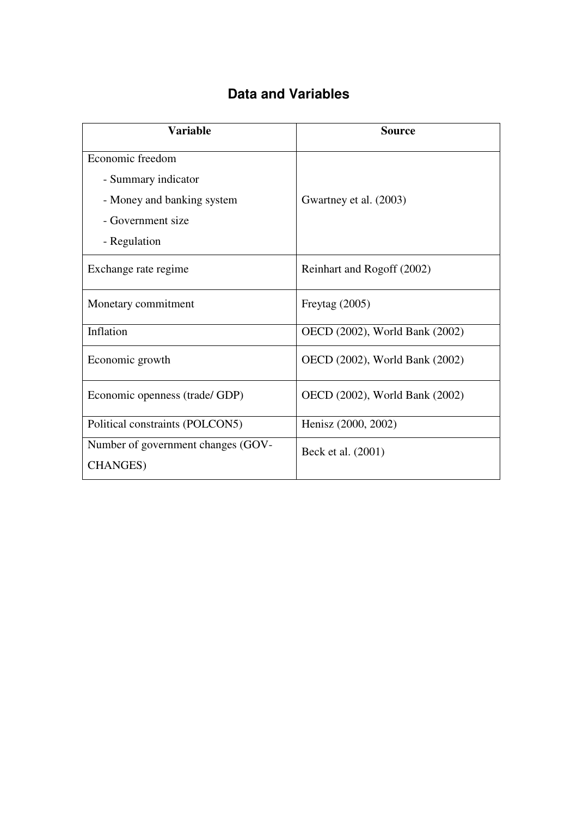# **Data and Variables**

| <b>Variable</b>                    | Source                         |
|------------------------------------|--------------------------------|
| Economic freedom                   |                                |
| - Summary indicator                |                                |
| - Money and banking system         | Gwartney et al. (2003)         |
| - Government size                  |                                |
| - Regulation                       |                                |
| Exchange rate regime               | Reinhart and Rogoff (2002)     |
| Monetary commitment                | Freytag (2005)                 |
| Inflation                          | OECD (2002), World Bank (2002) |
| Economic growth                    | OECD (2002), World Bank (2002) |
| Economic openness (trade/GDP)      | OECD (2002), World Bank (2002) |
| Political constraints (POLCON5)    | Henisz (2000, 2002)            |
| Number of government changes (GOV- | Beck et al. (2001)             |
| <b>CHANGES</b> )                   |                                |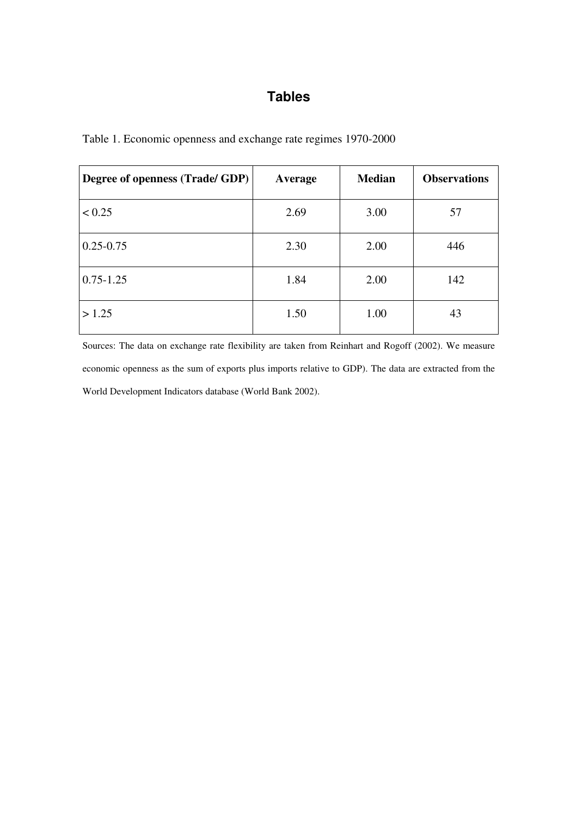# **Tables**

| Degree of openness (Trade/GDP) | Average | <b>Median</b> | <b>Observations</b> |
|--------------------------------|---------|---------------|---------------------|
| < 0.25                         | 2.69    | 3.00          | 57                  |
| $0.25 - 0.75$                  | 2.30    | 2.00          | 446                 |
| $0.75 - 1.25$                  | 1.84    | 2.00          | 142                 |
| > 1.25                         | 1.50    | 1.00          | 43                  |

Table 1. Economic openness and exchange rate regimes 1970-2000

Sources: The data on exchange rate flexibility are taken from Reinhart and Rogoff (2002). We measure economic openness as the sum of exports plus imports relative to GDP). The data are extracted from the World Development Indicators database (World Bank 2002).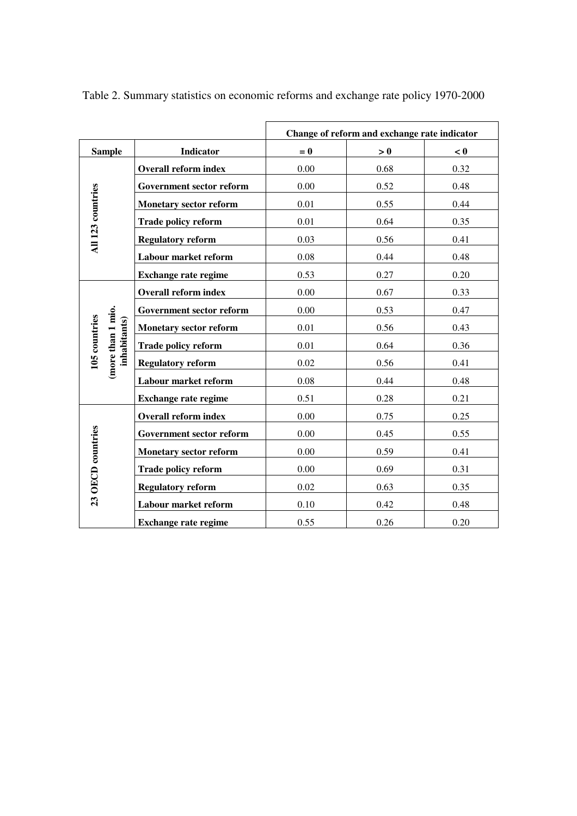|                                                    |                                 |       | Change of reform and exchange rate indicator |      |  |  |  |
|----------------------------------------------------|---------------------------------|-------|----------------------------------------------|------|--|--|--|
| <b>Sample</b>                                      | <b>Indicator</b>                | $= 0$ | > 0                                          | < 0  |  |  |  |
|                                                    | <b>Overall reform index</b>     | 0.00  | 0.68                                         | 0.32 |  |  |  |
|                                                    | <b>Government sector reform</b> | 0.00  | 0.52                                         | 0.48 |  |  |  |
|                                                    | <b>Monetary sector reform</b>   | 0.01  | 0.55                                         | 0.44 |  |  |  |
| All 123 countries                                  | <b>Trade policy reform</b>      | 0.01  | 0.64                                         | 0.35 |  |  |  |
|                                                    | <b>Regulatory reform</b>        | 0.03  | 0.56                                         | 0.41 |  |  |  |
|                                                    | Labour market reform            | 0.08  | 0.44                                         | 0.48 |  |  |  |
|                                                    | <b>Exchange rate regime</b>     | 0.53  | 0.27                                         | 0.20 |  |  |  |
|                                                    | <b>Overall reform index</b>     | 0.00  | 0.67                                         | 0.33 |  |  |  |
|                                                    | <b>Government sector reform</b> | 0.00  | 0.53                                         | 0.47 |  |  |  |
| (more than 1 mio.<br>105 countries<br>inhabitants) | <b>Monetary sector reform</b>   | 0.01  | 0.56                                         | 0.43 |  |  |  |
|                                                    | Trade policy reform             | 0.01  | 0.64                                         | 0.36 |  |  |  |
|                                                    | <b>Regulatory reform</b>        | 0.02  | 0.56                                         | 0.41 |  |  |  |
|                                                    | Labour market reform            | 0.08  | 0.44                                         | 0.48 |  |  |  |
|                                                    | <b>Exchange rate regime</b>     | 0.51  | 0.28                                         | 0.21 |  |  |  |
|                                                    | <b>Overall reform index</b>     | 0.00  | 0.75                                         | 0.25 |  |  |  |
|                                                    | Government sector reform        | 0.00  | 0.45                                         | 0.55 |  |  |  |
|                                                    | <b>Monetary sector reform</b>   | 0.00  | 0.59                                         | 0.41 |  |  |  |
| 23 OECD countries                                  | <b>Trade policy reform</b>      | 0.00  | 0.69                                         | 0.31 |  |  |  |
|                                                    | <b>Regulatory reform</b>        | 0.02  | 0.63                                         | 0.35 |  |  |  |
|                                                    | Labour market reform            | 0.10  | 0.42                                         | 0.48 |  |  |  |
|                                                    | <b>Exchange rate regime</b>     | 0.55  | 0.26                                         | 0.20 |  |  |  |

Table 2. Summary statistics on economic reforms and exchange rate policy 1970-2000

 $\overline{\phantom{0}}$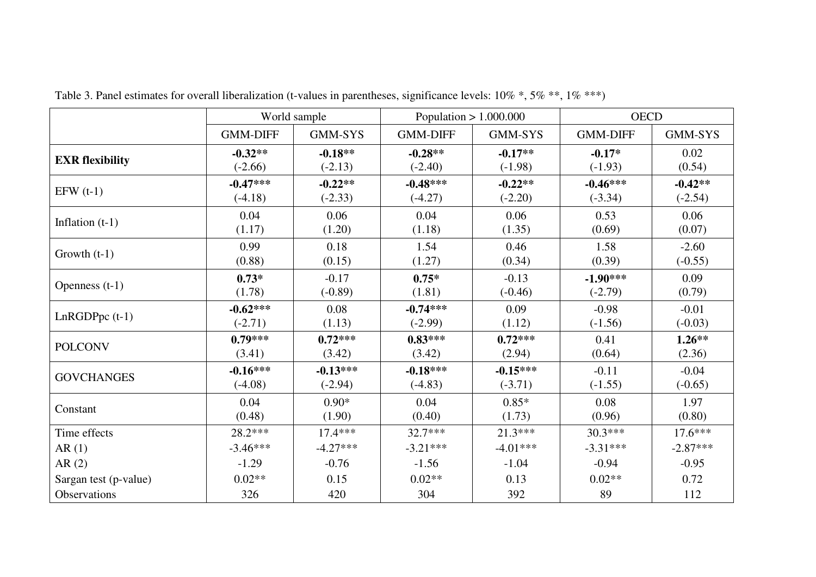|                        |                 | World sample   | Population $> 1.000.000$ |                | <b>OECD</b>     |                |
|------------------------|-----------------|----------------|--------------------------|----------------|-----------------|----------------|
|                        | <b>GMM-DIFF</b> | <b>GMM-SYS</b> | <b>GMM-DIFF</b>          | <b>GMM-SYS</b> | <b>GMM-DIFF</b> | <b>GMM-SYS</b> |
| <b>EXR</b> flexibility | $-0.32**$       | $-0.18**$      | $-0.28**$                | $-0.17**$      | $-0.17*$        | 0.02           |
|                        | $(-2.66)$       | $(-2.13)$      | $(-2.40)$                | $(-1.98)$      | $(-1.93)$       | (0.54)         |
| $EFW(t-1)$             | $-0.47***$      | $-0.22**$      | $-0.48***$               | $-0.22**$      | $-0.46***$      | $-0.42**$      |
|                        | $(-4.18)$       | $(-2.33)$      | $(-4.27)$                | $(-2.20)$      | $(-3.34)$       | $(-2.54)$      |
| Inflation $(t-1)$      | 0.04            | 0.06           | 0.04                     | 0.06           | 0.53            | 0.06           |
|                        | (1.17)          | (1.20)         | (1.18)                   | (1.35)         | (0.69)          | (0.07)         |
| Growth $(t-1)$         | 0.99            | 0.18           | 1.54                     | 0.46           | 1.58            | $-2.60$        |
|                        | (0.88)          | (0.15)         | (1.27)                   | (0.34)         | (0.39)          | $(-0.55)$      |
| Openness $(t-1)$       | $0.73*$         | $-0.17$        | $0.75*$                  | $-0.13$        | $-1.90***$      | 0.09           |
|                        | (1.78)          | $(-0.89)$      | (1.81)                   | $(-0.46)$      | $(-2.79)$       | (0.79)         |
| $LnRGDPpc$ (t-1)       | $-0.62***$      | 0.08           | $-0.74***$               | 0.09           | $-0.98$         | $-0.01$        |
|                        | $(-2.71)$       | (1.13)         | $(-2.99)$                | (1.12)         | $(-1.56)$       | $(-0.03)$      |
| <b>POLCONV</b>         | $0.79***$       | $0.72***$      | $0.83***$                | $0.72***$      | 0.41            | $1.26**$       |
|                        | (3.41)          | (3.42)         | (3.42)                   | (2.94)         | (0.64)          | (2.36)         |
| <b>GOVCHANGES</b>      | $-0.16***$      | $-0.13***$     | $-0.18***$               | $-0.15***$     | $-0.11$         | $-0.04$        |
|                        | $(-4.08)$       | $(-2.94)$      | $(-4.83)$                | $(-3.71)$      | $(-1.55)$       | $(-0.65)$      |
| Constant               | 0.04            | $0.90*$        | 0.04                     | $0.85*$        | 0.08            | 1.97           |
|                        | (0.48)          | (1.90)         | (0.40)                   | (1.73)         | (0.96)          | (0.80)         |
| Time effects           | $28.2***$       | $17.4***$      | $32.7***$                | $21.3***$      | $30.3***$       | $17.6***$      |
| AR(1)                  | $-3.46***$      | $-4.27***$     | $-3.21***$               | $-4.01***$     | $-3.31***$      | $-2.87***$     |
| AR(2)                  | $-1.29$         | $-0.76$        | $-1.56$                  | $-1.04$        | $-0.94$         | $-0.95$        |
| Sargan test (p-value)  | $0.02**$        | 0.15           | $0.02**$                 | 0.13           | $0.02**$        | 0.72           |
| Observations           | 326             | 420            | 304                      | 392            | 89              | 112            |

Table 3. Panel estimates for overall liberalization (t-values in parentheses, significance levels: 10% \*, 5% \*\*, 1% \*\*\*)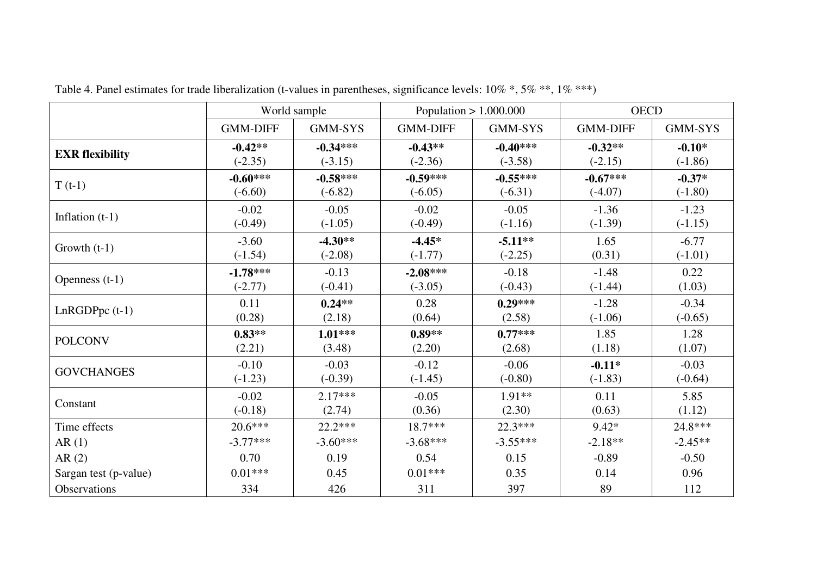|                        |                 | World sample | Population $> 1.000.000$ |                | <b>OECD</b>     |                |
|------------------------|-----------------|--------------|--------------------------|----------------|-----------------|----------------|
|                        | <b>GMM-DIFF</b> | GMM-SYS      | <b>GMM-DIFF</b>          | <b>GMM-SYS</b> | <b>GMM-DIFF</b> | <b>GMM-SYS</b> |
| <b>EXR</b> flexibility | $-0.42**$       | $-0.34***$   | $-0.43**$                | $-0.40***$     | $-0.32**$       | $-0.10*$       |
|                        | $(-2.35)$       | $(-3.15)$    | $(-2.36)$                | $(-3.58)$      | $(-2.15)$       | $(-1.86)$      |
| $T(t-1)$               | $-0.60***$      | $-0.58***$   | $-0.59***$               | $-0.55***$     | $-0.67***$      | $-0.37*$       |
|                        | $(-6.60)$       | $(-6.82)$    | $(-6.05)$                | $(-6.31)$      | $(-4.07)$       | $(-1.80)$      |
| Inflation $(t-1)$      | $-0.02$         | $-0.05$      | $-0.02$                  | $-0.05$        | $-1.36$         | $-1.23$        |
|                        | $(-0.49)$       | $(-1.05)$    | $(-0.49)$                | $(-1.16)$      | $(-1.39)$       | $(-1.15)$      |
| Growth $(t-1)$         | $-3.60$         | $-4.30**$    | $-4.45*$                 | $-5.11**$      | 1.65            | $-6.77$        |
|                        | $(-1.54)$       | $(-2.08)$    | $(-1.77)$                | $(-2.25)$      | (0.31)          | $(-1.01)$      |
| Openness $(t-1)$       | $-1.78***$      | $-0.13$      | $-2.08***$               | $-0.18$        | $-1.48$         | 0.22           |
|                        | $(-2.77)$       | $(-0.41)$    | $(-3.05)$                | $(-0.43)$      | $(-1.44)$       | (1.03)         |
| $LnRGDPpc$ (t-1)       | 0.11            | $0.24**$     | 0.28                     | $0.29***$      | $-1.28$         | $-0.34$        |
|                        | (0.28)          | (2.18)       | (0.64)                   | (2.58)         | $(-1.06)$       | $(-0.65)$      |
| <b>POLCONV</b>         | $0.83**$        | $1.01***$    | $0.89**$                 | $0.77***$      | 1.85            | 1.28           |
|                        | (2.21)          | (3.48)       | (2.20)                   | (2.68)         | (1.18)          | (1.07)         |
| <b>GOVCHANGES</b>      | $-0.10$         | $-0.03$      | $-0.12$                  | $-0.06$        | $-0.11*$        | $-0.03$        |
|                        | $(-1.23)$       | $(-0.39)$    | $(-1.45)$                | $(-0.80)$      | $(-1.83)$       | $(-0.64)$      |
| Constant               | $-0.02$         | $2.17***$    | $-0.05$                  | $1.91**$       | 0.11            | 5.85           |
|                        | $(-0.18)$       | (2.74)       | (0.36)                   | (2.30)         | (0.63)          | (1.12)         |
| Time effects           | $20.6***$       | $22.2***$    | $18.7***$                | $22.3***$      | $9.42*$         | 24.8***        |
| AR(1)                  | $-3.77***$      | $-3.60***$   | $-3.68***$               | $-3.55***$     | $-2.18**$       | $-2.45**$      |
| AR(2)                  | 0.70            | 0.19         | 0.54                     | 0.15           | $-0.89$         | $-0.50$        |
| Sargan test (p-value)  | $0.01***$       | 0.45         | $0.01***$                | 0.35           | 0.14            | 0.96           |
| Observations           | 334             | 426          | 311                      | 397            | 89              | 112            |

Table 4. Panel estimates for trade liberalization (t-values in parentheses, significance levels: 10% \*, 5% \*\*, 1% \*\*\*)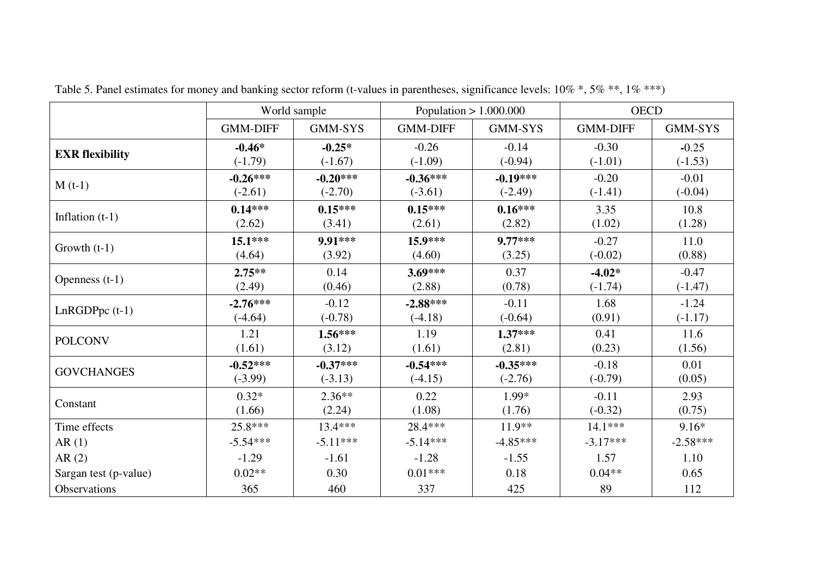|                        |                 | World sample   | Population $> 1.000.000$ |            | <b>OECD</b>     |                |
|------------------------|-----------------|----------------|--------------------------|------------|-----------------|----------------|
|                        | <b>GMM-DIFF</b> | <b>GMM-SYS</b> | <b>GMM-DIFF</b>          | GMM-SYS    | <b>GMM-DIFF</b> | <b>GMM-SYS</b> |
| <b>EXR</b> flexibility | $-0.46*$        | $-0.25*$       | $-0.26$                  | $-0.14$    | $-0.30$         | $-0.25$        |
|                        | $(-1.79)$       | $(-1.67)$      | $(-1.09)$                | $(-0.94)$  | $(-1.01)$       | $(-1.53)$      |
| $M(t-1)$               | $-0.26***$      | $-0.20***$     | $-0.36***$               | $-0.19***$ | $-0.20$         | $-0.01$        |
|                        | $(-2.61)$       | $(-2.70)$      | $(-3.61)$                | $(-2.49)$  | $(-1.41)$       | $(-0.04)$      |
| Inflation $(t-1)$      | $0.14***$       | $0.15***$      | $0.15***$                | $0.16***$  | 3.35            | 10.8           |
|                        | (2.62)          | (3.41)         | (2.61)                   | (2.82)     | (1.02)          | (1.28)         |
| Growth $(t-1)$         | $15.1***$       | 9.91***        | $15.9***$                | 9.77***    | $-0.27$         | 11.0           |
|                        | (4.64)          | (3.92)         | (4.60)                   | (3.25)     | $(-0.02)$       | (0.88)         |
| Openness $(t-1)$       | $2.75***$       | 0.14           | $3.69***$                | 0.37       | $-4.02*$        | $-0.47$        |
|                        | (2.49)          | (0.46)         | (2.88)                   | (0.78)     | $(-1.74)$       | $(-1.47)$      |
| $LnRGDPpc$ ( $t-1$ )   | $-2.76***$      | $-0.12$        | $-2.88***$               | $-0.11$    | 1.68            | $-1.24$        |
|                        | $(-4.64)$       | $(-0.78)$      | $(-4.18)$                | $(-0.64)$  | (0.91)          | $(-1.17)$      |
| <b>POLCONV</b>         | 1.21            | $1.56***$      | 1.19                     | $1.37***$  | 0.41            | 11.6           |
|                        | (1.61)          | (3.12)         | (1.61)                   | (2.81)     | (0.23)          | (1.56)         |
| <b>GOVCHANGES</b>      | $-0.52***$      | $-0.37***$     | $-0.54***$               | $-0.35***$ | $-0.18$         | 0.01           |
|                        | $(-3.99)$       | $(-3.13)$      | $(-4.15)$                | $(-2.76)$  | $(-0.79)$       | (0.05)         |
| Constant               | $0.32*$         | $2.36**$       | 0.22                     | 1.99*      | $-0.11$         | 2.93           |
|                        | (1.66)          | (2.24)         | (1.08)                   | (1.76)     | $(-0.32)$       | (0.75)         |
| Time effects           | 25.8***         | $13.4***$      | 28.4 ***                 | $11.9**$   | $14.1***$       | $9.16*$        |
| AR(1)                  | $-5.54***$      | $-5.11***$     | $-5.14***$               | $-4.85***$ | $-3.17***$      | $-2.58***$     |
| AR(2)                  | $-1.29$         | $-1.61$        | $-1.28$                  | $-1.55$    | 1.57            | 1.10           |
| Sargan test (p-value)  | $0.02**$        | 0.30           | $0.01***$                | 0.18       | $0.04**$        | 0.65           |
| Observations           | 365             | 460            | 337                      | 425        | 89              | 112            |

Table 5. Panel estimates for money and banking sector reform (t-values in parentheses, significance levels: 10% \*, 5% \*\*, 1% \*\*\*)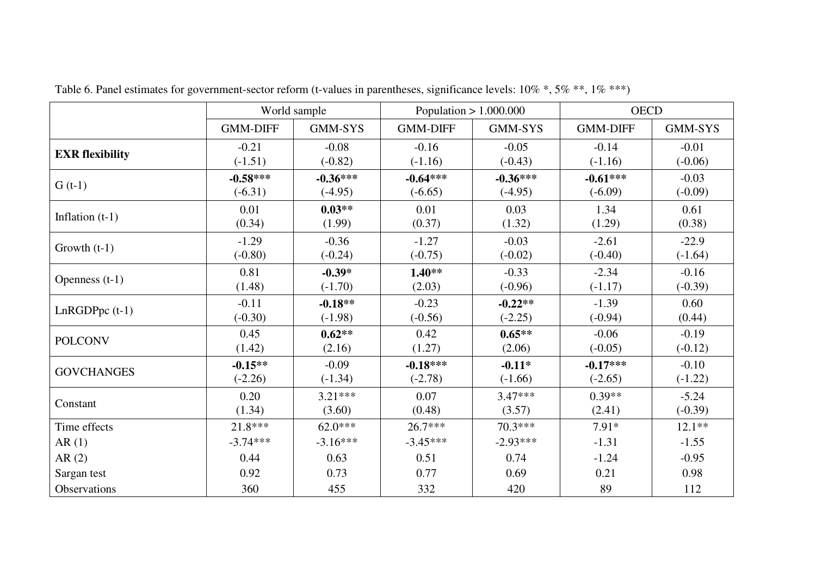|                        |                 | World sample   | Population $> 1.000.000$ |                | <b>OECD</b>     |                |
|------------------------|-----------------|----------------|--------------------------|----------------|-----------------|----------------|
|                        | <b>GMM-DIFF</b> | <b>GMM-SYS</b> | <b>GMM-DIFF</b>          | <b>GMM-SYS</b> | <b>GMM-DIFF</b> | <b>GMM-SYS</b> |
| <b>EXR</b> flexibility | $-0.21$         | $-0.08$        | $-0.16$                  | $-0.05$        | $-0.14$         | $-0.01$        |
|                        | $(-1.51)$       | $(-0.82)$      | $(-1.16)$                | $(-0.43)$      | $(-1.16)$       | $(-0.06)$      |
| $G(t-1)$               | $-0.58***$      | $-0.36***$     | $-0.64***$               | $-0.36***$     | $-0.61***$      | $-0.03$        |
|                        | $(-6.31)$       | $(-4.95)$      | $(-6.65)$                | $(-4.95)$      | $(-6.09)$       | $(-0.09)$      |
| Inflation $(t-1)$      | 0.01            | $0.03**$       | 0.01                     | 0.03           | 1.34            | 0.61           |
|                        | (0.34)          | (1.99)         | (0.37)                   | (1.32)         | (1.29)          | (0.38)         |
| Growth $(t-1)$         | $-1.29$         | $-0.36$        | $-1.27$                  | $-0.03$        | $-2.61$         | $-22.9$        |
|                        | $(-0.80)$       | $(-0.24)$      | $(-0.75)$                | $(-0.02)$      | $(-0.40)$       | $(-1.64)$      |
| Openness $(t-1)$       | 0.81            | $-0.39*$       | $1.40**$                 | $-0.33$        | $-2.34$         | $-0.16$        |
|                        | (1.48)          | $(-1.70)$      | (2.03)                   | $(-0.96)$      | $(-1.17)$       | $(-0.39)$      |
| $LnRGDPpc$ (t-1)       | $-0.11$         | $-0.18**$      | $-0.23$                  | $-0.22**$      | $-1.39$         | 0.60           |
|                        | $(-0.30)$       | $(-1.98)$      | $(-0.56)$                | $(-2.25)$      | $(-0.94)$       | (0.44)         |
| <b>POLCONV</b>         | 0.45            | $0.62**$       | 0.42                     | $0.65**$       | $-0.06$         | $-0.19$        |
|                        | (1.42)          | (2.16)         | (1.27)                   | (2.06)         | $(-0.05)$       | $(-0.12)$      |
| <b>GOVCHANGES</b>      | $-0.15**$       | $-0.09$        | $-0.18***$               | $-0.11*$       | $-0.17***$      | $-0.10$        |
|                        | $(-2.26)$       | $(-1.34)$      | $(-2.78)$                | $(-1.66)$      | $(-2.65)$       | $(-1.22)$      |
| Constant               | 0.20            | $3.21***$      | 0.07                     | $3.47***$      | $0.39**$        | $-5.24$        |
|                        | (1.34)          | (3.60)         | (0.48)                   | (3.57)         | (2.41)          | $(-0.39)$      |
| Time effects           | $21.8***$       | $62.0***$      | $26.7***$                | $70.3***$      | $7.91*$         | $12.1**$       |
| AR(1)                  | $-3.74***$      | $-3.16***$     | $-3.45***$               | $-2.93***$     | $-1.31$         | $-1.55$        |
| AR(2)                  | 0.44            | 0.63           | 0.51                     | 0.74           | $-1.24$         | $-0.95$        |
| Sargan test            | 0.92            | 0.73           | 0.77                     | 0.69           | 0.21            | 0.98           |
| Observations           | 360             | 455            | 332                      | 420            | 89              | 112            |

Table 6. Panel estimates for government-sector reform (t-values in parentheses, significance levels: 10% \*, 5% \*\*, 1% \*\*\*)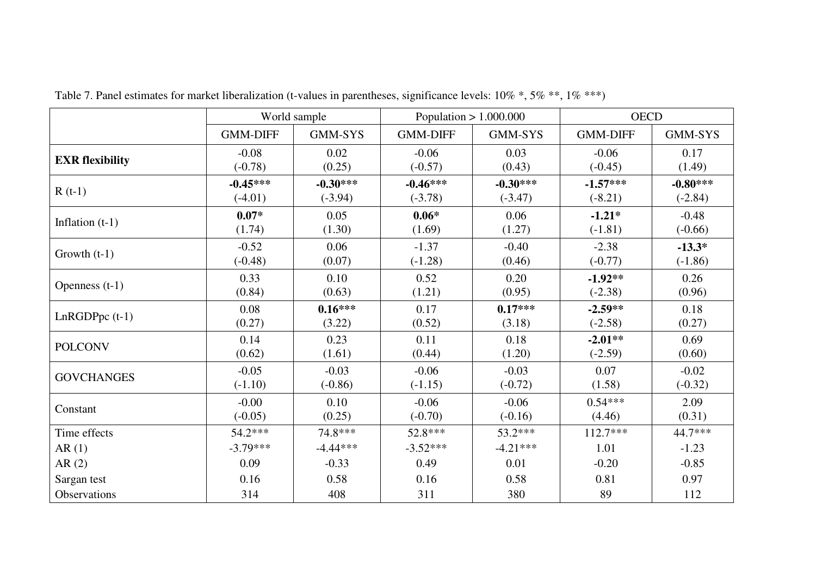|                        |                 | World sample   | Population $> 1.000.000$ |                | <b>OECD</b>     |                |
|------------------------|-----------------|----------------|--------------------------|----------------|-----------------|----------------|
|                        | <b>GMM-DIFF</b> | <b>GMM-SYS</b> | <b>GMM-DIFF</b>          | <b>GMM-SYS</b> | <b>GMM-DIFF</b> | <b>GMM-SYS</b> |
| <b>EXR</b> flexibility | $-0.08$         | 0.02           | $-0.06$                  | 0.03           | $-0.06$         | 0.17           |
|                        | $(-0.78)$       | (0.25)         | $(-0.57)$                | (0.43)         | $(-0.45)$       | (1.49)         |
| $R(t-1)$               | $-0.45***$      | $-0.30***$     | $-0.46***$               | $-0.30***$     | $-1.57***$      | $-0.80***$     |
|                        | $(-4.01)$       | $(-3.94)$      | $(-3.78)$                | $(-3.47)$      | $(-8.21)$       | $(-2.84)$      |
| Inflation $(t-1)$      | $0.07*$         | 0.05           | $0.06*$                  | 0.06           | $-1.21*$        | $-0.48$        |
|                        | (1.74)          | (1.30)         | (1.69)                   | (1.27)         | $(-1.81)$       | $(-0.66)$      |
| Growth $(t-1)$         | $-0.52$         | 0.06           | $-1.37$                  | $-0.40$        | $-2.38$         | $-13.3*$       |
|                        | $(-0.48)$       | (0.07)         | $(-1.28)$                | (0.46)         | $(-0.77)$       | $(-1.86)$      |
| Openness $(t-1)$       | 0.33            | 0.10           | 0.52                     | 0.20           | $-1.92**$       | 0.26           |
|                        | (0.84)          | (0.63)         | (1.21)                   | (0.95)         | $(-2.38)$       | (0.96)         |
| $LnRGDPpc$ (t-1)       | 0.08            | $0.16***$      | 0.17                     | $0.17***$      | $-2.59**$       | 0.18           |
|                        | (0.27)          | (3.22)         | (0.52)                   | (3.18)         | $(-2.58)$       | (0.27)         |
| <b>POLCONV</b>         | 0.14            | 0.23           | 0.11                     | 0.18           | $-2.01**$       | 0.69           |
|                        | (0.62)          | (1.61)         | (0.44)                   | (1.20)         | $(-2.59)$       | (0.60)         |
| <b>GOVCHANGES</b>      | $-0.05$         | $-0.03$        | $-0.06$                  | $-0.03$        | 0.07            | $-0.02$        |
|                        | $(-1.10)$       | $(-0.86)$      | $(-1.15)$                | $(-0.72)$      | (1.58)          | $(-0.32)$      |
| Constant               | $-0.00$         | 0.10           | $-0.06$                  | $-0.06$        | $0.54***$       | 2.09           |
|                        | $(-0.05)$       | (0.25)         | $(-0.70)$                | $(-0.16)$      | (4.46)          | (0.31)         |
| Time effects           | $54.2***$       | 74.8 ***       | 52.8 ***                 | 53.2 ***       | $112.7***$      | 44.7***        |
| AR(1)                  | $-3.79***$      | $-4.44***$     | $-3.52***$               | $-4.21***$     | 1.01            | $-1.23$        |
| AR(2)                  | 0.09            | $-0.33$        | 0.49                     | 0.01           | $-0.20$         | $-0.85$        |
| Sargan test            | 0.16            | 0.58           | 0.16                     | 0.58           | 0.81            | 0.97           |
| Observations           | 314             | 408            | 311                      | 380            | 89              | 112            |

Table 7. Panel estimates for market liberalization (t-values in parentheses, significance levels: 10% \*, 5% \*\*, 1% \*\*\*)